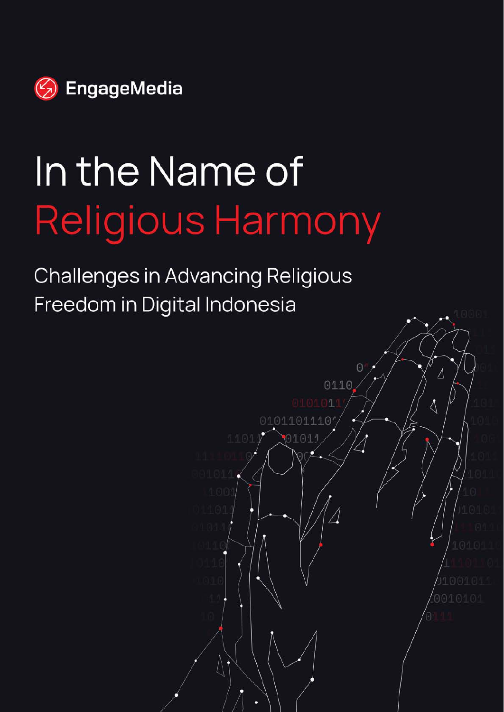

# In the Name of Religious Harmony

**Challenges in Advancing Religious** Freedom in Digital Indonesia

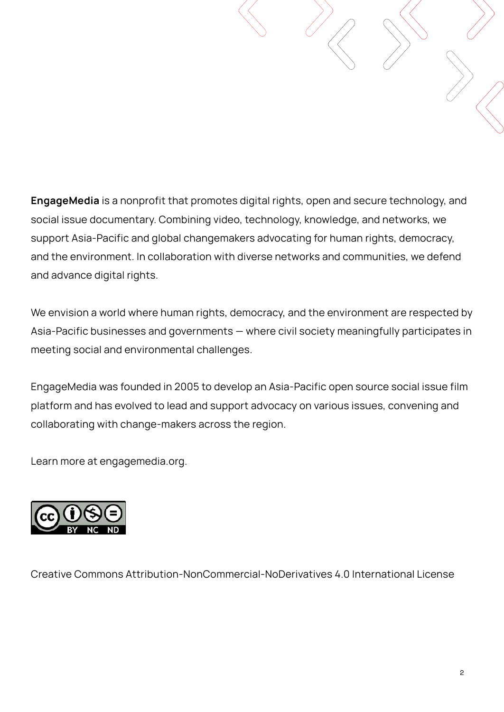**EngageMedia** is a nonprofit that promotes digital rights, open and secure technology, and social issue documentary. Combining video, technology, knowledge, and networks, we support Asia-Pacific and global changemakers advocating for human rights, democracy, and the environment. In collaboration with diverse networks and communities, we defend and advance digital rights.

We envision a world where human rights, democracy, and the environment are respected by Asia-Pacific businesses and governments — where civil society meaningfully participates in meeting social and environmental challenges.

EngageMedia was founded in 2005 to develop an Asia-Pacific open source social issue film platform and has evolved to lead and support advocacy on various issues, convening and collaborating with change-makers across the region.

Learn more at engagemedia.org.



Creative Commons Attribution-NonCommercial-NoDerivatives 4.0 International License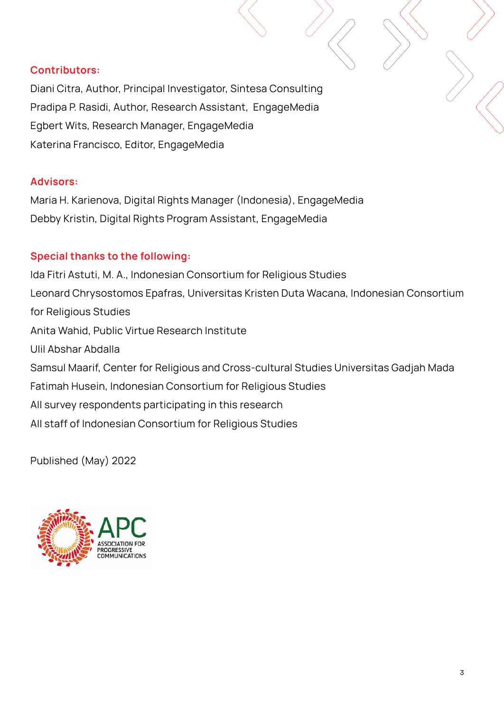#### **Contributors:**

Diani Citra, Author, Principal Investigator, Sintesa Consulting Pradipa P. Rasidi, Author, Research Assistant, EngageMedia Egbert Wits, Research Manager, EngageMedia Katerina Francisco, Editor, EngageMedia

#### **Advisors:**

Maria H. Karienova, Digital Rights Manager (Indonesia), EngageMedia Debby Kristin, Digital Rights Program Assistant, EngageMedia

#### **Special thanks to the following:**

Ida Fitri Astuti, M. A., Indonesian Consortium for Religious Studies Leonard Chrysostomos Epafras, Universitas Kristen Duta Wacana, Indonesian Consortium for Religious Studies Anita Wahid, Public Virtue Research Institute Ulil Abshar Abdalla Samsul Maarif, Center for Religious and Cross-cultural Studies Universitas Gadjah Mada Fatimah Husein, Indonesian Consortium for Religious Studies All survey respondents participating in this research All staff of Indonesian Consortium for Religious Studies

Published (May) 2022

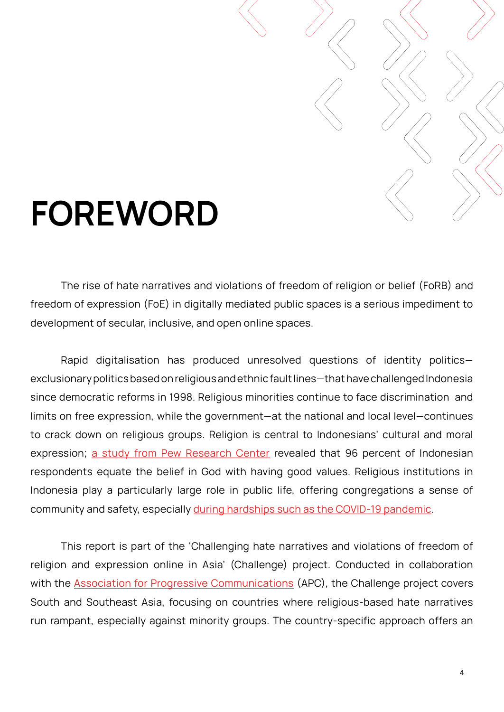

# **FOREWORD**

 The rise of hate narratives and violations of freedom of religion or belief (FoRB) and freedom of expression (FoE) in digitally mediated public spaces is a serious impediment to development of secular, inclusive, and open online spaces.

Rapid digitalisation has produced unresolved questions of identity politics exclusionary politics based on religious and ethnic fault lines—that have challenged Indonesia since democratic reforms in 1998. Religious minorities continue to face discrimination and limits on free expression, while the government—at the national and local level—continues to crack down on religious groups. Religion is central to Indonesians' cultural and moral expression; [a study from Pew Research Center](https://www.thejakartapost.com/news/2020/07/30/indonesia-ranks-among-most-religious-countries-in-pew-study.html) revealed that 96 percent of Indonesian respondents equate the belief in God with having good values. Religious institutions in Indonesia play a particularly large role in public life, offering congregations a sense of community and safety, especially [during hardships such as the COVID-19 pandemic.](https://en.tempo.co/read/1486001/covid-19-made-people-more-religious-study-finds)

This report is part of the 'Challenging hate narratives and violations of freedom of religion and expression online in Asia' (Challenge) project. Conducted in collaboration with the **[Association for Progressive Communications](https://www.apc.org/)** (APC), the Challenge project covers South and Southeast Asia, focusing on countries where religious-based hate narratives run rampant, especially against minority groups. The country-specific approach offers an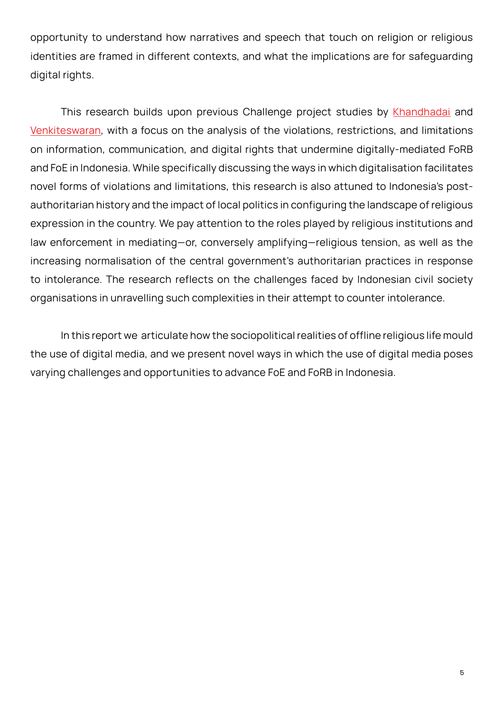opportunity to understand how narratives and speech that touch on religion or religious identities are framed in different contexts, and what the implications are for safeguarding digital rights.

This research builds upon previous Challenge project studies by [Khandhadai](https://www.apc.org/en/pubs/desecrating-expression-account-freedom-expression-and-religion-asia) and [Venkiteswaran](https://www.apc.org/en/pubs/%E2%80%9Clet-mob-do-job%E2%80%9D-how-proponents-hatred-are-threatening-freedom-expression-and-religion-online), with a focus on the analysis of the violations, restrictions, and limitations on information, communication, and digital rights that undermine digitally-mediated FoRB and FoE in Indonesia. While specifically discussing the ways in which digitalisation facilitates novel forms of violations and limitations, this research is also attuned to Indonesia's postauthoritarian history and the impact of local politics in configuring the landscape of religious expression in the country. We pay attention to the roles played by religious institutions and law enforcement in mediating—or, conversely amplifying—religious tension, as well as the increasing normalisation of the central government's authoritarian practices in response to intolerance. The research reflects on the challenges faced by Indonesian civil society organisations in unravelling such complexities in their attempt to counter intolerance.

In this report we articulate how the sociopolitical realities of offline religious life mould the use of digital media, and we present novel ways in which the use of digital media poses varying challenges and opportunities to advance FoE and FoRB in Indonesia.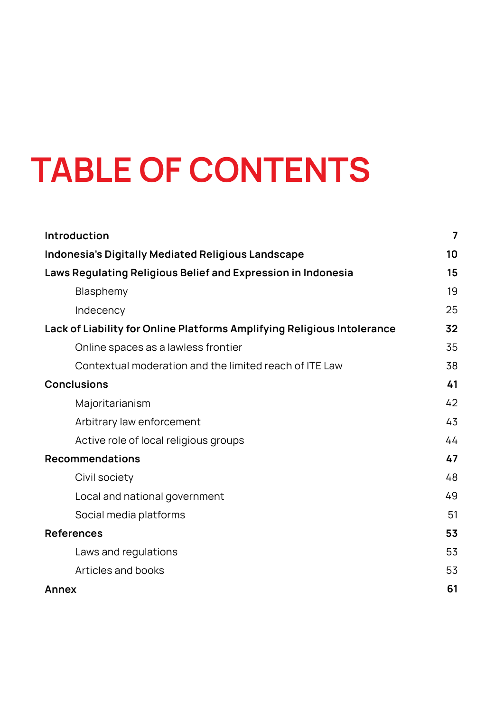# **TABLE OF CONTENTS**

| Introduction                                                            | $\overline{7}$ |
|-------------------------------------------------------------------------|----------------|
| Indonesia's Digitally Mediated Religious Landscape                      | 10             |
| Laws Regulating Religious Belief and Expression in Indonesia            | 15             |
| Blasphemy                                                               | 19             |
| Indecency                                                               | 25             |
| Lack of Liability for Online Platforms Amplifying Religious Intolerance | 32             |
| Online spaces as a lawless frontier                                     | 35             |
| Contextual moderation and the limited reach of ITE Law                  | 38             |
| <b>Conclusions</b>                                                      | 41             |
| Majoritarianism                                                         | 42             |
| Arbitrary law enforcement                                               | 43             |
| Active role of local religious groups                                   | 44             |
| <b>Recommendations</b>                                                  | 47             |
| Civil society                                                           | 48             |
| Local and national government                                           | 49             |
| Social media platforms                                                  | 51             |
| <b>References</b>                                                       | 53             |
| Laws and regulations                                                    | 53             |
| Articles and books                                                      | 53             |
| <b>Annex</b>                                                            | 61             |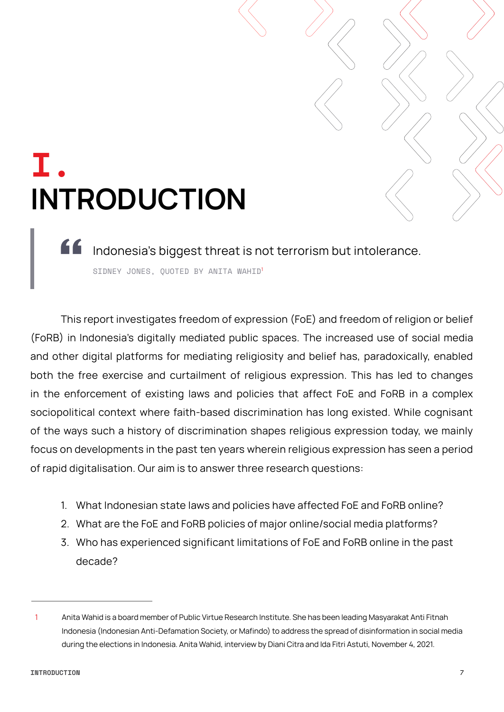### <span id="page-6-0"></span>**I. INTRODUCTION**

Indonesia's biggest threat is not terrorism but intolerance. SIDNEY JONES, QUOTED BY ANITA WAHID<sup>1</sup>

This report investigates freedom of expression (FoE) and freedom of religion or belief (FoRB) in Indonesia's digitally mediated public spaces. The increased use of social media and other digital platforms for mediating religiosity and belief has, paradoxically, enabled both the free exercise and curtailment of religious expression. This has led to changes in the enforcement of existing laws and policies that affect FoE and FoRB in a complex sociopolitical context where faith-based discrimination has long existed. While cognisant of the ways such a history of discrimination shapes religious expression today, we mainly focus on developments in the past ten years wherein religious expression has seen a period of rapid digitalisation. Our aim is to answer three research questions:

- 1. What Indonesian state laws and policies have affected FoE and FoRB online?
- 2. What are the FoE and FoRB policies of major online/social media platforms?
- 3. Who has experienced significant limitations of FoE and FoRB online in the past decade?

<sup>1</sup> Anita Wahid is a board member of Public Virtue Research Institute. She has been leading Masyarakat Anti Fitnah Indonesia (Indonesian Anti-Defamation Society, or Mafindo) to address the spread of disinformation in social media during the elections in Indonesia. Anita Wahid, interview by Diani Citra and Ida Fitri Astuti, November 4, 2021.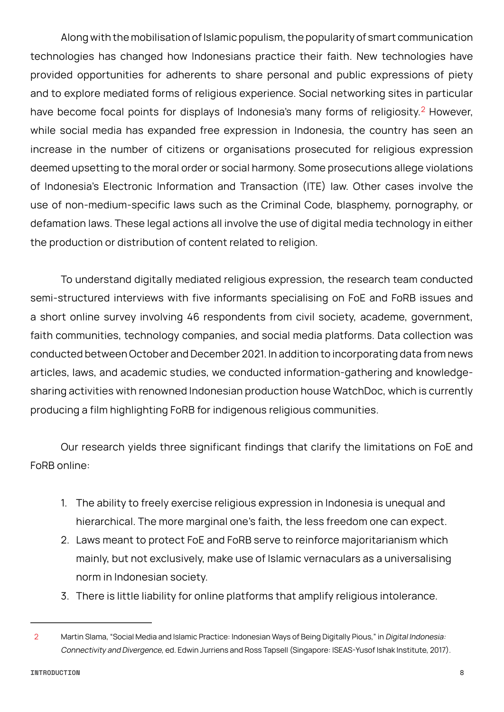Along with the mobilisation of Islamic populism, the popularity of smart communication technologies has changed how Indonesians practice their faith. New technologies have provided opportunities for adherents to share personal and public expressions of piety and to explore mediated forms of religious experience. Social networking sites in particular have become focal points for displays of Indonesia's many forms of religiosity.<sup>2</sup> However, while social media has expanded free expression in Indonesia, the country has seen an increase in the number of citizens or organisations prosecuted for religious expression deemed upsetting to the moral order or social harmony. Some prosecutions allege violations of Indonesia's Electronic Information and Transaction (ITE) law. Other cases involve the use of non-medium-specific laws such as the Criminal Code, blasphemy, pornography, or defamation laws. These legal actions all involve the use of digital media technology in either the production or distribution of content related to religion.

To understand digitally mediated religious expression, the research team conducted semi-structured interviews with five informants specialising on FoE and FoRB issues and a short online survey involving 46 respondents from civil society, academe, government, faith communities, technology companies, and social media platforms. Data collection was conducted between October and December 2021. In addition to incorporating data from news articles, laws, and academic studies, we conducted information-gathering and knowledgesharing activities with renowned Indonesian production house WatchDoc, which is currently producing a film highlighting FoRB for indigenous religious communities.

Our research yields three significant findings that clarify the limitations on FoE and FoRB online:

- 1. The ability to freely exercise religious expression in Indonesia is unequal and hierarchical. The more marginal one's faith, the less freedom one can expect.
- 2. Laws meant to protect FoE and FoRB serve to reinforce majoritarianism which mainly, but not exclusively, make use of Islamic vernaculars as a universalising norm in Indonesian society.
- 3. There is little liability for online platforms that amplify religious intolerance.

<sup>2</sup> Martin Slama, "Social Media and Islamic Practice: Indonesian Ways of Being Digitally Pious," in Digital Indonesia: Connectivity and Divergence, ed. Edwin Jurriens and Ross Tapsell (Singapore: ISEAS-Yusof Ishak Institute, 2017).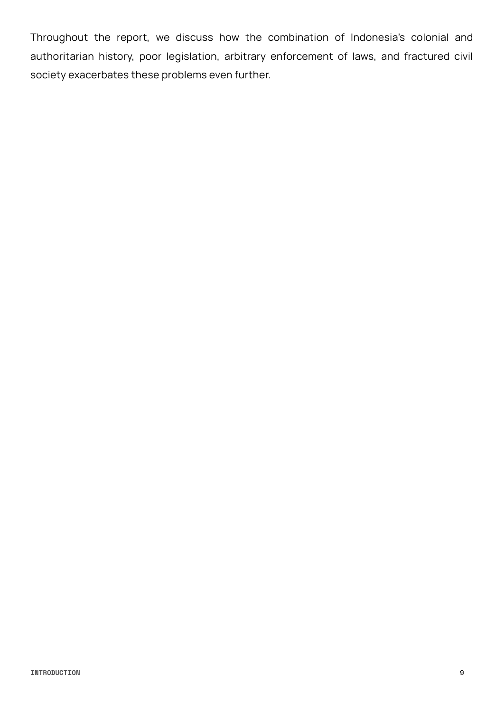Throughout the report, we discuss how the combination of Indonesia's colonial and authoritarian history, poor legislation, arbitrary enforcement of laws, and fractured civil society exacerbates these problems even further.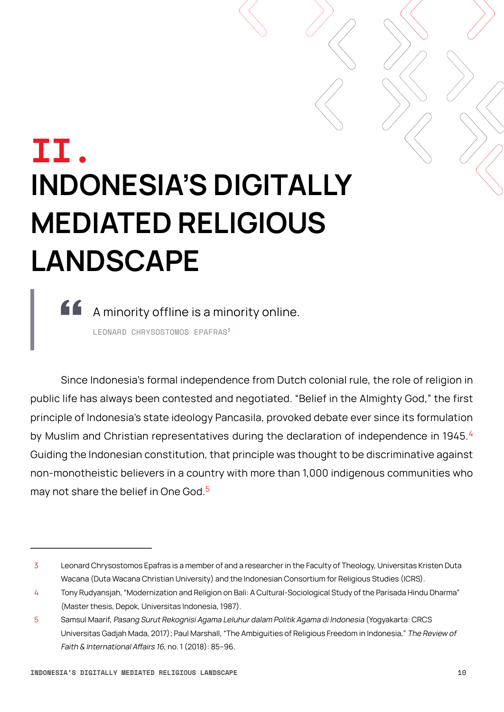## <span id="page-9-0"></span>**II. INDONESIA'S DIGITALLY MEDIATED RELIGIOUS LANDSCAPE**

A minority offline is a minority online. LEONARD CHRYSOSTOMOS EPAFRAS<sup>3</sup>

Since Indonesia's formal independence from Dutch colonial rule, the role of religion in public life has always been contested and negotiated. "Belief in the Almighty God," the first principle of Indonesia's state ideology Pancasila, provoked debate ever since its formulation by Muslim and Christian representatives during the declaration of independence in 1945.<sup>4</sup> Guiding the Indonesian constitution, that principle was thought to be discriminative against non-monotheistic believers in a country with more than 1,000 indigenous communities who may not share the belief in One God<sup>5</sup>

<sup>3</sup> Leonard Chrysostomos Epafras is a member of and a researcher in the Faculty of Theology, Universitas Kristen Duta Wacana (Duta Wacana Christian University) and the Indonesian Consortium for Religious Studies (ICRS).

<sup>4</sup> Tony Rudyansjah, "Modernization and Religion on Bali: A Cultural-Sociological Study of the Parisada Hindu Dharma" (Master thesis, Depok, Universitas Indonesia, 1987).

<sup>5</sup> Samsul Maarif, Pasang Surut Rekognisi Agama Leluhur dalam Politik Agama di Indonesia (Yogyakarta: CRCS Universitas Gadjah Mada, 2017); Paul Marshall, "The Ambiguities of Religious Freedom in Indonesia," The Review of Faith & International Affairs 16, no. 1 (2018): 85–96.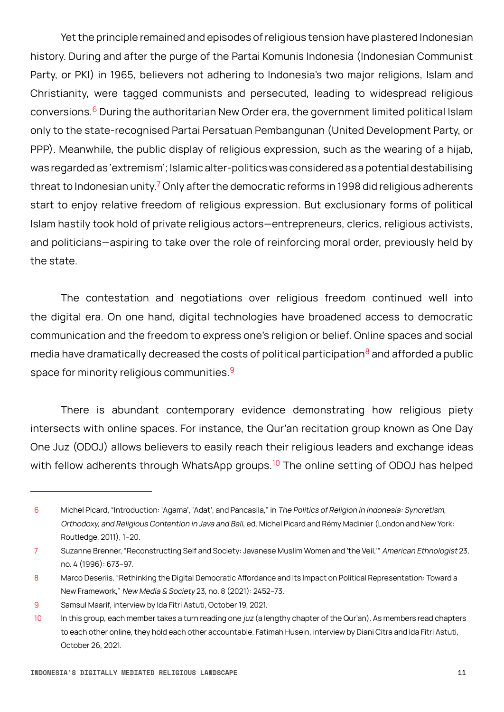Yet the principle remained and episodes of religious tension have plastered Indonesian history. During and after the purge of the Partai Komunis Indonesia (Indonesian Communist Party, or PKI) in 1965, believers not adhering to Indonesia's two major religions, Islam and Christianity, were tagged communists and persecuted, leading to widespread religious conversions.<sup>6</sup> During the authoritarian New Order era, the government limited political Islam only to the state-recognised Partai Persatuan Pembangunan (United Development Party, or PPP). Meanwhile, the public display of religious expression, such as the wearing of a hijab, was regarded as 'extremism'; Islamic alter-politics was considered as a potential destabilising threat to Indonesian unity.<sup>7</sup> Only after the democratic reforms in 1998 did religious adherents start to enjoy relative freedom of religious expression. But exclusionary forms of political Islam hastily took hold of private religious actors—entrepreneurs, clerics, religious activists, and politicians—aspiring to take over the role of reinforcing moral order, previously held by the state.

The contestation and negotiations over religious freedom continued well into the digital era. On one hand, digital technologies have broadened access to democratic communication and the freedom to express one's religion or belief. Online spaces and social media have dramatically decreased the costs of political participation $8$  and afforded a public space for minority religious communities.<sup>9</sup>

There is abundant contemporary evidence demonstrating how religious piety intersects with online spaces. For instance, the Qur'an recitation group known as One Day One Juz (ODOJ) allows believers to easily reach their religious leaders and exchange ideas with fellow adherents through WhatsApp groups.<sup>10</sup> The online setting of ODOJ has helped

<sup>6</sup> Michel Picard, "Introduction: 'Agama', 'Adat', and Pancasila," in The Politics of Religion in Indonesia: Syncretism, Orthodoxy, and Religious Contention in Java and Bali, ed. Michel Picard and Rémy Madinier (London and New York: Routledge, 2011), 1–20.

<sup>7</sup> Suzanne Brenner, "Reconstructing Self and Society: Javanese Muslim Women and 'the Veil,'" American Ethnologist 23, no. 4 (1996): 673–97.

<sup>8</sup> Marco Deseriis, "Rethinking the Digital Democratic Affordance and Its Impact on Political Representation: Toward a New Framework," New Media & Society 23, no. 8 (2021): 2452–73.

<sup>9</sup> Samsul Maarif, interview by Ida Fitri Astuti, October 19, 2021.

<sup>10</sup> In this group, each member takes a turn reading one juz (a lengthy chapter of the Qur'an). As members read chapters to each other online, they hold each other accountable. Fatimah Husein, interview by Diani Citra and Ida Fitri Astuti, October 26, 2021.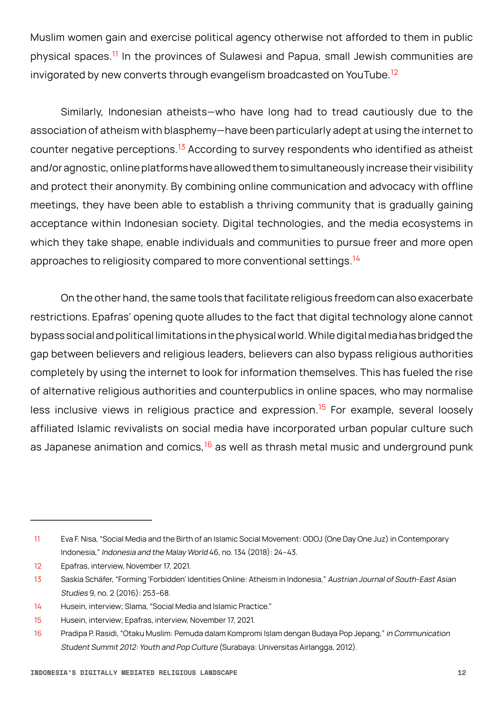Muslim women gain and exercise political agency otherwise not afforded to them in public physical spaces.11 In the provinces of Sulawesi and Papua, small Jewish communities are invigorated by new converts through evangelism broadcasted on YouTube.<sup>12</sup>

Similarly, Indonesian atheists—who have long had to tread cautiously due to the association of atheism with blasphemy—have been particularly adept at using the internet to counter negative perceptions.<sup>13</sup> According to survey respondents who identified as atheist and/or agnostic, online platforms have allowed them to simultaneously increase their visibility and protect their anonymity. By combining online communication and advocacy with offline meetings, they have been able to establish a thriving community that is gradually gaining acceptance within Indonesian society. Digital technologies, and the media ecosystems in which they take shape, enable individuals and communities to pursue freer and more open approaches to religiosity compared to more conventional settings.<sup>14</sup>

On the other hand, the same tools that facilitate religious freedom can also exacerbate restrictions. Epafras' opening quote alludes to the fact that digital technology alone cannot bypass social and political limitations in the physical world. While digital media has bridged the gap between believers and religious leaders, believers can also bypass religious authorities completely by using the internet to look for information themselves. This has fueled the rise of alternative religious authorities and counterpublics in online spaces, who may normalise less inclusive views in religious practice and expression.<sup>15</sup> For example, several loosely affiliated Islamic revivalists on social media have incorporated urban popular culture such as Japanese animation and comics, $16$  as well as thrash metal music and underground punk

<sup>11</sup> Eva F. Nisa, "Social Media and the Birth of an Islamic Social Movement: ODOJ (One Day One Juz) in Contemporary Indonesia," Indonesia and the Malay World 46, no. 134 (2018): 24–43.

<sup>12</sup> Epafras, interview, November 17, 2021.

<sup>13</sup> Saskia Schäfer, "Forming 'Forbidden' Identities Online: Atheism in Indonesia," Austrian Journal of South-East Asian Studies 9, no. 2 (2016): 253–68.

<sup>14</sup> Husein, interview; Slama, "Social Media and Islamic Practice."

<sup>15</sup> Husein, interview; Epafras, interview, November 17, 2021.

<sup>16</sup> Pradipa P. Rasidi, "Otaku Muslim: Pemuda dalam Kompromi Islam dengan Budaya Pop Jepang," in Communication Student Summit 2012: Youth and Pop Culture (Surabaya: Universitas Airlangga, 2012).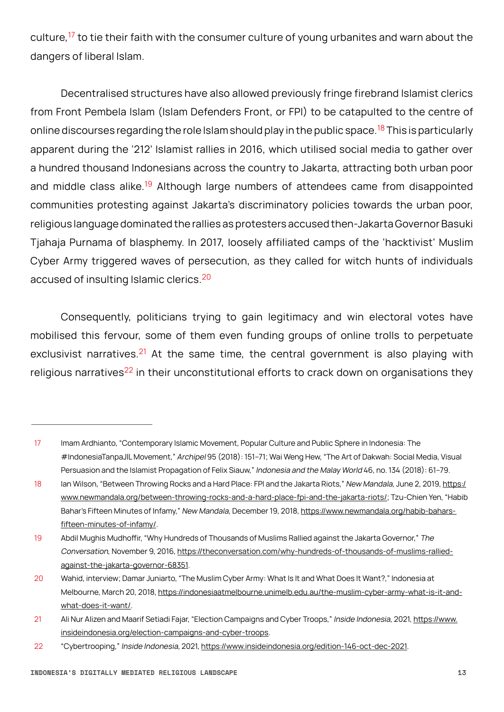culture,<sup>17</sup> to tie their faith with the consumer culture of young urbanites and warn about the dangers of liberal Islam.

Decentralised structures have also allowed previously fringe firebrand Islamist clerics from Front Pembela Islam (Islam Defenders Front, or FPI) to be catapulted to the centre of online discourses regarding the role Islam should play in the public space.<sup>18</sup> This is particularly apparent during the '212' Islamist rallies in 2016, which utilised social media to gather over a hundred thousand Indonesians across the country to Jakarta, attracting both urban poor and middle class alike.<sup>19</sup> Although large numbers of attendees came from disappointed communities protesting against Jakarta's discriminatory policies towards the urban poor, religious language dominated the rallies as protesters accused then-Jakarta Governor Basuki Tjahaja Purnama of blasphemy. In 2017, loosely affiliated camps of the 'hacktivist' Muslim Cyber Army triggered waves of persecution, as they called for witch hunts of individuals accused of insulting Islamic clerics.<sup>20</sup>

Consequently, politicians trying to gain legitimacy and win electoral votes have mobilised this fervour, some of them even funding groups of online trolls to perpetuate exclusivist narratives.<sup>21</sup> At the same time, the central government is also playing with religious narratives<sup>22</sup> in their unconstitutional efforts to crack down on organisations they

<sup>17</sup> Imam Ardhianto, "Contemporary Islamic Movement, Popular Culture and Public Sphere in Indonesia: The #IndonesiaTanpaJIL Movement," Archipel 95 (2018): 151–71; Wai Weng Hew, "The Art of Dakwah: Social Media, Visual Persuasion and the Islamist Propagation of Felix Siauw," Indonesia and the Malay World 46, no. 134 (2018): 61–79.

<sup>18</sup> Ian Wilson, "Between Throwing Rocks and a Hard Place: FPI and the Jakarta Riots," New Mandala, June 2, 2019, [https:/](https://www.newmandala.org/between-throwing-rocks-and-a-hard-place-fpi-and-the-jakarta-riots/) [www.newmandala.org/between-throwing-rocks-and-a-hard-place-fpi-and-the-jakarta-riots/](https://www.newmandala.org/between-throwing-rocks-and-a-hard-place-fpi-and-the-jakarta-riots/); Tzu-Chien Yen, "Habib Bahar's Fifteen Minutes of Infamy," New Mandala, December 19, 2018, https://www.newmandala.org/habib-bahars[fifteen-minutes-of-infamy/](https://www.newmandala.org/habib-bahars-fifteen-minutes-of-infamy/).

<sup>19</sup> Abdil Mughis Mudhoffir, "Why Hundreds of Thousands of Muslims Rallied against the Jakarta Governor," The Conversation, November 9, 2016, [https://theconversation.com/why-hundreds-of-thousands-of-muslims-rallied](https://theconversation.com/why-hundreds-of-thousands-of-muslims-rallied-against-the-jakarta-governor-68351)[against-the-jakarta-governor-68351](https://theconversation.com/why-hundreds-of-thousands-of-muslims-rallied-against-the-jakarta-governor-68351).

<sup>20</sup> Wahid, interview; Damar Juniarto, "The Muslim Cyber Army: What Is It and What Does It Want?," Indonesia at Melbourne, March 20, 2018, [https://indonesiaatmelbourne.unimelb.edu.au/the-muslim-cyber-army-what-is-it-and](https://indonesiaatmelbourne.unimelb.edu.au/the-muslim-cyber-army-what-is-it-and-what-does-it-want/)[what-does-it-want/.](https://indonesiaatmelbourne.unimelb.edu.au/the-muslim-cyber-army-what-is-it-and-what-does-it-want/)

<sup>21</sup> Ali Nur Alizen and Maarif Setiadi Fajar, "Election Campaigns and Cyber Troops," Inside Indonesia, 2021, [https://www.](https://www.insideindonesia.org/election-campaigns-and-cyber-troops) [insideindonesia.org/election-campaigns-and-cyber-troops](https://www.insideindonesia.org/election-campaigns-and-cyber-troops).

<sup>22</sup> "Cybertrooping," Inside Indonesia, 2021, <https://www.insideindonesia.org/edition-146-oct-dec-2021>.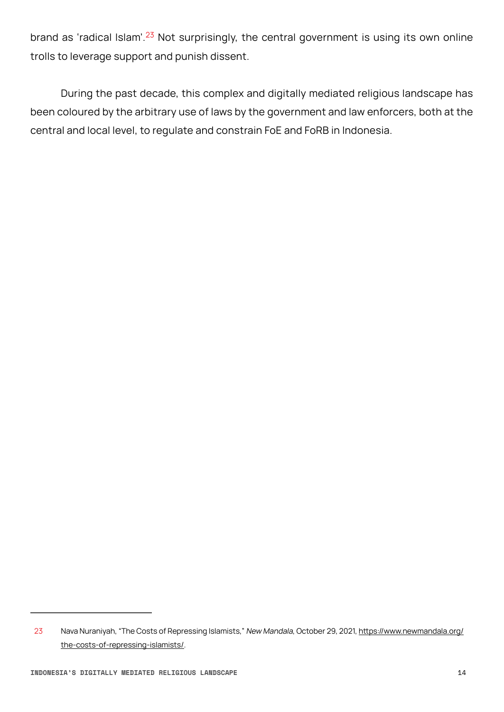brand as 'radical Islam'.<sup>23</sup> Not surprisingly, the central government is using its own online trolls to leverage support and punish dissent.

During the past decade, this complex and digitally mediated religious landscape has been coloured by the arbitrary use of laws by the government and law enforcers, both at the central and local level, to regulate and constrain FoE and FoRB in Indonesia.

<sup>23</sup> Nava Nuraniyah, "The Costs of Repressing Islamists," New Mandala, October 29, 2021, [https://www.newmandala.org/](https://www.newmandala.org/the-costs-of-repressing-islamists/) [the-costs-of-repressing-islamists/](https://www.newmandala.org/the-costs-of-repressing-islamists/).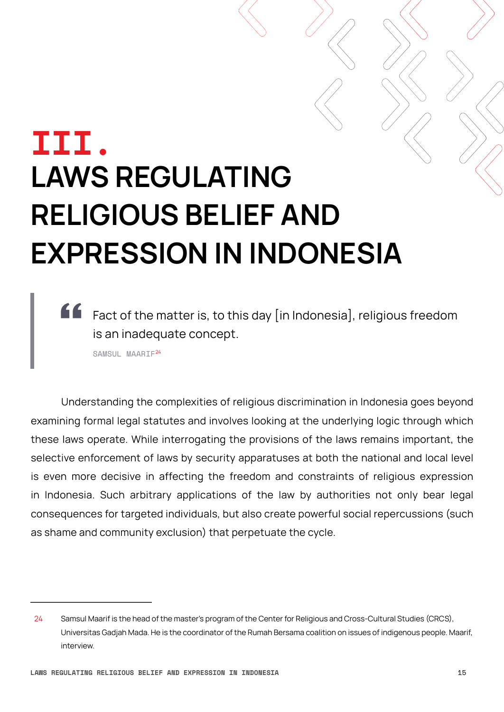## <span id="page-14-0"></span>**III. LAWS REGULATING RELIGIOUS BELIEF AND EXPRESSION IN INDONESIA**

**ff** Fact of the matter is, to this day [in Indonesia], religious freedom is an inadequate concept.

SAMSUL MAARIF<sup>24</sup>

Understanding the complexities of religious discrimination in Indonesia goes beyond examining formal legal statutes and involves looking at the underlying logic through which these laws operate. While interrogating the provisions of the laws remains important, the selective enforcement of laws by security apparatuses at both the national and local level is even more decisive in affecting the freedom and constraints of religious expression in Indonesia. Such arbitrary applications of the law by authorities not only bear legal consequences for targeted individuals, but also create powerful social repercussions (such as shame and community exclusion) that perpetuate the cycle.

<sup>24</sup> Samsul Maarif is the head of the master's program of the Center for Religious and Cross-Cultural Studies (CRCS), Universitas Gadjah Mada. He is the coordinator of the Rumah Bersama coalition on issues of indigenous people. Maarif, interview.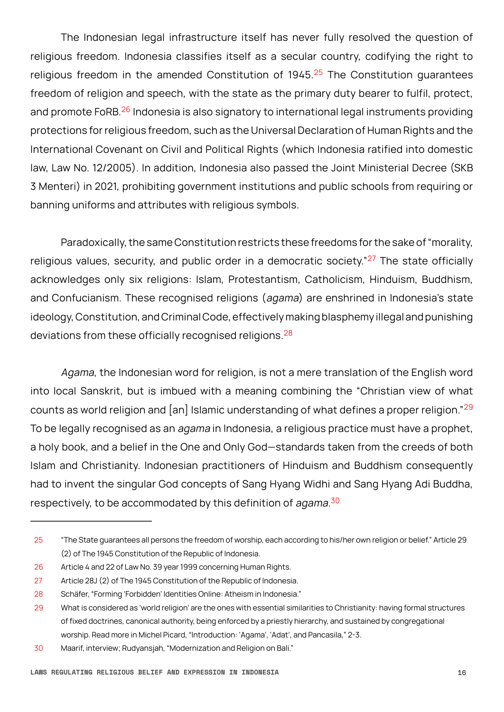The Indonesian legal infrastructure itself has never fully resolved the question of religious freedom. Indonesia classifies itself as a secular country, codifying the right to religious freedom in the amended Constitution of 1945.<sup>25</sup> The Constitution guarantees freedom of religion and speech, with the state as the primary duty bearer to fulfil, protect, and promote FoRB.<sup>26</sup> Indonesia is also signatory to international legal instruments providing protections for religious freedom, such as the Universal Declaration of Human Rights and the International Covenant on Civil and Political Rights (which Indonesia ratified into domestic law, Law No. 12/2005). In addition, Indonesia also passed the Joint Ministerial Decree (SKB 3 Menteri) in 2021, prohibiting government institutions and public schools from requiring or banning uniforms and attributes with religious symbols.

Paradoxically, the same Constitution restricts these freedoms for the sake of "morality, religious values, security, and public order in a democratic society." $27$  The state officially acknowledges only six religions: Islam, Protestantism, Catholicism, Hinduism, Buddhism, and Confucianism. These recognised religions (agama) are enshrined in Indonesia's state ideology, Constitution, and Criminal Code, effectively making blasphemy illegal and punishing deviations from these officially recognised religions.<sup>28</sup>

Agama, the Indonesian word for religion, is not a mere translation of the English word into local Sanskrit, but is imbued with a meaning combining the "Christian view of what counts as world religion and  $\lceil$  and  $\lceil$  Islamic understanding of what defines a proper religion."<sup>29</sup> To be legally recognised as an *agama* in Indonesia, a religious practice must have a prophet, a holy book, and a belief in the One and Only God—standards taken from the creeds of both Islam and Christianity. Indonesian practitioners of Hinduism and Buddhism consequently had to invent the singular God concepts of Sang Hyang Widhi and Sang Hyang Adi Buddha, respectively, to be accommodated by this definition of *agama.<sup>30</sup>* 

<sup>25</sup> "The State guarantees all persons the freedom of worship, each according to his/her own religion or belief." Article 29 (2) of The 1945 Constitution of the Republic of Indonesia.

<sup>26</sup> Article 4 and 22 of Law No. 39 year 1999 concerning Human Rights.

<sup>27</sup> Article 28J (2) of The 1945 Constitution of the Republic of Indonesia.

<sup>28</sup> Schäfer, "Forming 'Forbidden' Identities Online: Atheism in Indonesia."

<sup>29</sup> What is considered as 'world religion' are the ones with essential similarities to Christianity: having formal structures of fixed doctrines, canonical authority, being enforced by a priestly hierarchy, and sustained by congregational worship. Read more in Michel Picard, "Introduction: 'Agama', 'Adat', and Pancasila," 2-3.

<sup>30</sup> Maarif, interview; Rudyansjah, "Modernization and Religion on Bali."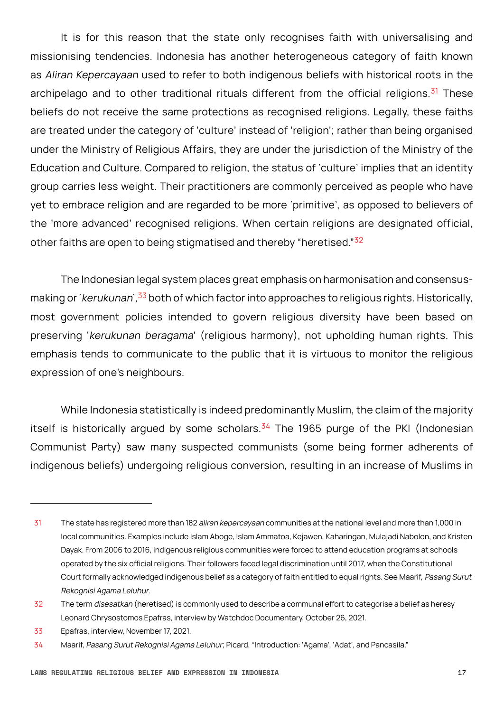It is for this reason that the state only recognises faith with universalising and missionising tendencies. Indonesia has another heterogeneous category of faith known as Aliran Kepercayaan used to refer to both indigenous beliefs with historical roots in the archipelago and to other traditional rituals different from the official religions.<sup>31</sup> These beliefs do not receive the same protections as recognised religions. Legally, these faiths are treated under the category of 'culture' instead of 'religion'; rather than being organised under the Ministry of Religious Affairs, they are under the jurisdiction of the Ministry of the Education and Culture. Compared to religion, the status of 'culture' implies that an identity group carries less weight. Their practitioners are commonly perceived as people who have yet to embrace religion and are regarded to be more 'primitive', as opposed to believers of the 'more advanced' recognised religions. When certain religions are designated official, other faiths are open to being stigmatised and thereby "heretised."<sup>32</sup>

The Indonesian legal system places great emphasis on harmonisation and consensusmaking or 'kerukunan',  $33$  both of which factor into approaches to religious rights. Historically, most government policies intended to govern religious diversity have been based on preserving 'kerukunan beragama' (religious harmony), not upholding human rights. This emphasis tends to communicate to the public that it is virtuous to monitor the religious expression of one's neighbours.

While Indonesia statistically is indeed predominantly Muslim, the claim of the majority itself is historically argued by some scholars. $34$  The 1965 purge of the PKI (Indonesian Communist Party) saw many suspected communists (some being former adherents of indigenous beliefs) undergoing religious conversion, resulting in an increase of Muslims in

<sup>31</sup> The state has registered more than 182 aliran kepercayaan communities at the national level and more than 1,000 in local communities. Examples include Islam Aboge, Islam Ammatoa, Kejawen, Kaharingan, Mulajadi Nabolon, and Kristen Dayak. From 2006 to 2016, indigenous religious communities were forced to attend education programs at schools operated by the six official religions. Their followers faced legal discrimination until 2017, when the Constitutional Court formally acknowledged indigenous belief as a category of faith entitled to equal rights. See Maarif, Pasang Surut Rekognisi Agama Leluhur.

<sup>32</sup> The term disesatkan (heretised) is commonly used to describe a communal effort to categorise a belief as heresy Leonard Chrysostomos Epafras, interview by Watchdoc Documentary, October 26, 2021.

<sup>33</sup> Epafras, interview, November 17, 2021.

<sup>34</sup> Maarif, Pasang Surut Rekognisi Agama Leluhur; Picard, "Introduction: 'Agama', 'Adat', and Pancasila."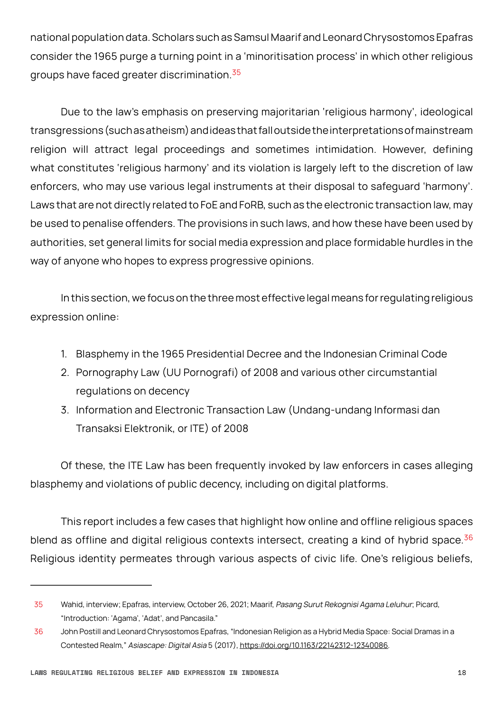national population data. Scholars such as Samsul Maarif and Leonard Chrysostomos Epafras consider the 1965 purge a turning point in a 'minoritisation process' in which other religious groups have faced greater discrimination.<sup>35</sup>

Due to the law's emphasis on preserving majoritarian 'religious harmony', ideological transgressions (such as atheism) and ideas that fall outside the interpretations of mainstream religion will attract legal proceedings and sometimes intimidation. However, defining what constitutes 'religious harmony' and its violation is largely left to the discretion of law enforcers, who may use various legal instruments at their disposal to safeguard 'harmony'. Laws that are not directly related to FoE and FoRB, such as the electronic transaction law, may be used to penalise offenders. The provisions in such laws, and how these have been used by authorities, set general limits for social media expression and place formidable hurdles in the way of anyone who hopes to express progressive opinions.

In this section, we focus on the three most effective legal means for regulating religious expression online:

- 1. Blasphemy in the 1965 Presidential Decree and the Indonesian Criminal Code
- 2. Pornography Law (UU Pornografi) of 2008 and various other circumstantial regulations on decency
- 3. Information and Electronic Transaction Law (Undang-undang Informasi dan Transaksi Elektronik, or ITE) of 2008

Of these, the ITE Law has been frequently invoked by law enforcers in cases alleging blasphemy and violations of public decency, including on digital platforms.

This report includes a few cases that highlight how online and offline religious spaces blend as offline and digital religious contexts intersect, creating a kind of hybrid space.  $36$ Religious identity permeates through various aspects of civic life. One's religious beliefs,

<sup>35</sup> Wahid, interview; Epafras, interview, October 26, 2021; Maarif, Pasang Surut Rekognisi Agama Leluhur; Picard, "Introduction: 'Agama', 'Adat', and Pancasila."

<sup>36</sup> John Postill and Leonard Chrysostomos Epafras, "Indonesian Religion as a Hybrid Media Space: Social Dramas in a Contested Realm," Asiascape: Digital Asia 5 (2017), <https://doi.org/10.1163/22142312-12340086>.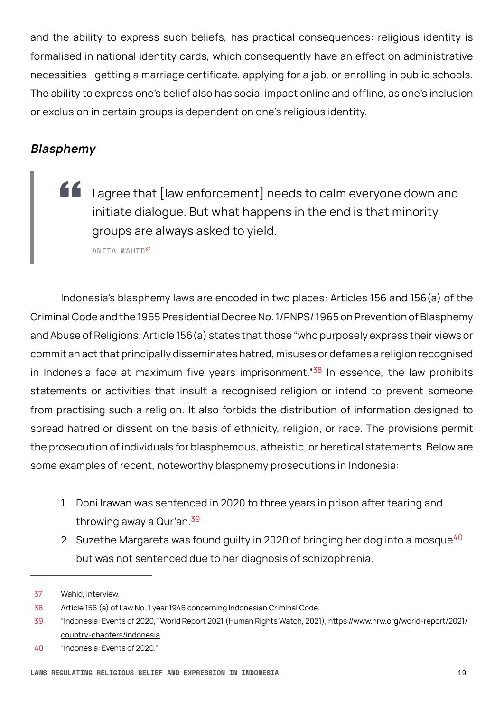<span id="page-18-0"></span>and the ability to express such beliefs, has practical consequences: religious identity is formalised in national identity cards, which consequently have an effect on administrative necessities—getting a marriage certificate, applying for a job, or enrolling in public schools. The ability to express one's belief also has social impact online and offline, as one's inclusion or exclusion in certain groups is dependent on one's religious identity.

### **Blasphemy**

**If** lagree that [law enforcement] needs to calm everyone down and initiate dialogue. But what happens in the end is that minority groups are always asked to yield.

ANITA WAHID37

Indonesia's blasphemy laws are encoded in two places: Articles 156 and 156(a) of the Criminal Code and the 1965 Presidential Decree No. 1/PNPS/ 1965 on Prevention of Blasphemy and Abuse of Religions. Article 156(a) states that those "who purposely express their views or commit an act that principally disseminates hatred, misuses or defames a religion recognised in Indonesia face at maximum five years imprisonment." $38$  In essence, the law prohibits statements or activities that insult a recognised religion or intend to prevent someone from practising such a religion. It also forbids the distribution of information designed to spread hatred or dissent on the basis of ethnicity, religion, or race. The provisions permit the prosecution of individuals for blasphemous, atheistic, or heretical statements. Below are some examples of recent, noteworthy blasphemy prosecutions in Indonesia:

- 1. Doni Irawan was sentenced in 2020 to three years in prison after tearing and throwing away a Qur'an.<sup>39</sup>
- 2. Suzethe Margareta was found guilty in 2020 of bringing her dog into a mosque<sup>40</sup> but was not sentenced due to her diagnosis of schizophrenia.

<sup>37</sup> Wahid, interview.

<sup>38</sup> Article 156 (a) of Law No. 1 year 1946 concerning Indonesian Criminal Code.

<sup>39</sup> "Indonesia: Events of 2020," World Report 2021 (Human Rights Watch, 2021), [https://www.hrw.org/world-report/2021/](https://www.hrw.org/world-report/2021/country-chapters/indonesia) [country-chapters/indonesia](https://www.hrw.org/world-report/2021/country-chapters/indonesia).

<sup>40</sup> "Indonesia: Events of 2020."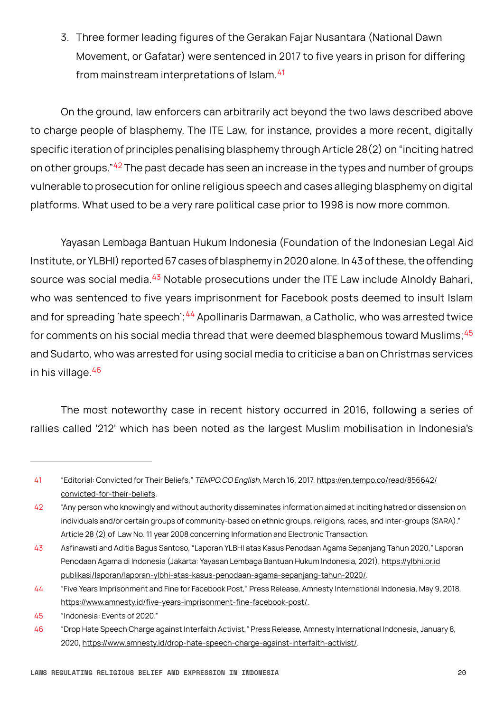3. Three former leading figures of the Gerakan Fajar Nusantara (National Dawn Movement, or Gafatar) were sentenced in 2017 to five years in prison for differing from mainstream interpretations of Islam.<sup>41</sup>

On the ground, law enforcers can arbitrarily act beyond the two laws described above to charge people of blasphemy. The ITE Law, for instance, provides a more recent, digitally specific iteration of principles penalising blasphemy through Article 28(2) on "inciting hatred on other groups."<sup>42</sup> The past decade has seen an increase in the types and number of groups vulnerable to prosecution for online religious speech and cases alleging blasphemy on digital platforms. What used to be a very rare political case prior to 1998 is now more common.

 Yayasan Lembaga Bantuan Hukum Indonesia (Foundation of the Indonesian Legal Aid Institute, or YLBHI) reported 67 cases of blasphemy in 2020 alone. In 43 of these, the offending source was social media.<sup>43</sup> Notable prosecutions under the ITE Law include Alnoldy Bahari, who was sentenced to five years imprisonment for Facebook posts deemed to insult Islam and for spreading 'hate speech';<sup>44</sup> Apollinaris Darmawan, a Catholic, who was arrested twice for comments on his social media thread that were deemed blasphemous toward Muslims;  $45$ and Sudarto, who was arrested for using social media to criticise a ban on Christmas services in his village.<sup>46</sup>

The most noteworthy case in recent history occurred in 2016, following a series of rallies called '212' which has been noted as the largest Muslim mobilisation in Indonesia's

<sup>41</sup> "Editorial: Convicted for Their Beliefs," TEMPO.CO English, March 16, 2017, [https://en.tempo.co/read/856642/](https://en.tempo.co/read/856642/convicted-for-their-beliefs) [convicted-for-their-beliefs.](https://en.tempo.co/read/856642/convicted-for-their-beliefs)

<sup>42</sup> "Any person who knowingly and without authority disseminates information aimed at inciting hatred or dissension on individuals and/or certain groups of community-based on ethnic groups, religions, races, and inter-groups (SARA)." Article 28 (2) of Law No. 11 year 2008 concerning Information and Electronic Transaction.

<sup>43</sup> Asfinawati and Aditia Bagus Santoso, "Laporan YLBHI atas Kasus Penodaan Agama Sepanjang Tahun 2020," Laporan Penodaan Agama di Indonesia (Jakarta: Yayasan Lembaga Bantuan Hukum Indonesia, 2021), [https://ylbhi.or.id](https://ylbhi.or.id/publikasi/laporan/laporan-ylbhi-atas-kasus-penodaan-agama-sepanjang-tahun-2020/) [publikasi/laporan/laporan-ylbhi-atas-kasus-penodaan-agama-sepanjang-tahun-2020/.](https://ylbhi.or.id/publikasi/laporan/laporan-ylbhi-atas-kasus-penodaan-agama-sepanjang-tahun-2020/)

<sup>44</sup> "Five Years Imprisonment and Fine for Facebook Post," Press Release, Amnesty International Indonesia, May 9, 2018, <https://www.amnesty.id/five-years-imprisonment-fine-facebook-post/>.

<sup>45</sup> "Indonesia: Events of 2020."

<sup>46</sup> "Drop Hate Speech Charge against Interfaith Activist," Press Release, Amnesty International Indonesia, January 8, 2020, <https://www.amnesty.id/drop-hate-speech-charge-against-interfaith-activist/>.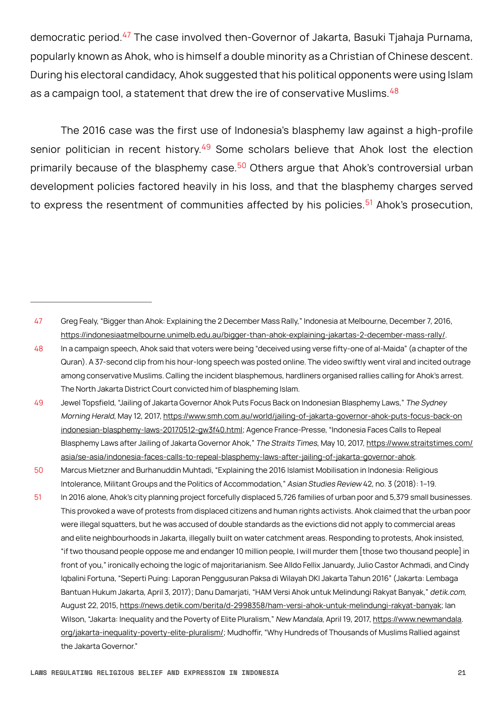democratic period.47 The case involved then-Governor of Jakarta, Basuki Tjahaja Purnama, popularly known as Ahok, who is himself a double minority as a Christian of Chinese descent. During his electoral candidacy, Ahok suggested that his political opponents were using Islam as a campaign tool, a statement that drew the ire of conservative Muslims.  $48$ 

The 2016 case was the first use of Indonesia's blasphemy law against a high-profile senior politician in recent history.<sup>49</sup> Some scholars believe that Ahok lost the election primarily because of the blasphemy case.<sup>50</sup> Others argue that Ahok's controversial urban development policies factored heavily in his loss, and that the blasphemy charges served to express the resentment of communities affected by his policies.<sup>51</sup> Ahok's prosecution,

<sup>47</sup> Greg Fealy, "Bigger than Ahok: Explaining the 2 December Mass Rally," Indonesia at Melbourne, December 7, 2016, <https://indonesiaatmelbourne.unimelb.edu.au/bigger-than-ahok-explaining-jakartas-2-december-mass-rally/>.

<sup>48</sup> In a campaign speech, Ahok said that voters were being "deceived using verse fifty-one of al-Maida" (a chapter of the Quran). A 37-second clip from his hour-long speech was posted online. The video swiftly went viral and incited outrage among conservative Muslims. Calling the incident blasphemous, hardliners organised rallies calling for Ahok's arrest. The North Jakarta District Court convicted him of blaspheming Islam.

<sup>49</sup> Jewel Topsfield, "Jailing of Jakarta Governor Ahok Puts Focus Back on Indonesian Blasphemy Laws," The Sydney Morning Herald, May 12, 2017, [https://www.smh.com.au/world/jailing-of-jakarta-governor-ahok-puts-focus-back-on](https://www.smh.com.au/world/jailing-of-jakarta-governor-ahok-puts-focus-back-on-indonesian-blasphemy-laws-20170512-gw3f40.html) [indonesian-blasphemy-laws-20170512-gw3f40.html](https://www.smh.com.au/world/jailing-of-jakarta-governor-ahok-puts-focus-back-on-indonesian-blasphemy-laws-20170512-gw3f40.html); Agence France-Presse, "Indonesia Faces Calls to Repeal Blasphemy Laws after Jailing of Jakarta Governor Ahok," The Straits Times, May 10, 2017, [https://www.straitstimes.com/](https://www.straitstimes.com/asia/se-asia/indonesia-faces-calls-to-repeal-blasphemy-laws-after-jailing-of-jakarta-governor-ahok) [asia/se-asia/indonesia-faces-calls-to-repeal-blasphemy-laws-after-jailing-of-jakarta-governor-ahok.](https://www.straitstimes.com/asia/se-asia/indonesia-faces-calls-to-repeal-blasphemy-laws-after-jailing-of-jakarta-governor-ahok)

<sup>50</sup> Marcus Mietzner and Burhanuddin Muhtadi, "Explaining the 2016 Islamist Mobilisation in Indonesia: Religious Intolerance, Militant Groups and the Politics of Accommodation," Asian Studies Review 42, no. 3 (2018): 1–19.

<sup>51</sup> In 2016 alone, Ahok's city planning project forcefully displaced 5,726 families of urban poor and 5,379 small businesses. This provoked a wave of protests from displaced citizens and human rights activists. Ahok claimed that the urban poor were illegal squatters, but he was accused of double standards as the evictions did not apply to commercial areas and elite neighbourhoods in Jakarta, illegally built on water catchment areas. Responding to protests, Ahok insisted, "if two thousand people oppose me and endanger 10 million people, I will murder them [those two thousand people] in front of you," ironically echoing the logic of majoritarianism. See Alldo Fellix Januardy, Julio Castor Achmadi, and Cindy Iqbalini Fortuna, "Seperti Puing: Laporan Penggusuran Paksa di Wilayah DKI Jakarta Tahun 2016" (Jakarta: Lembaga Bantuan Hukum Jakarta, April 3, 2017); Danu Damarjati, "HAM Versi Ahok untuk Melindungi Rakyat Banyak," detik.com, August 22, 2015, <https://news.detik.com/berita/d-2998358/ham-versi-ahok-untuk-melindungi-rakyat-banyak>; Ian Wilson, "Jakarta: Inequality and the Poverty of Elite Pluralism," New Mandala, April 19, 2017, [https://www.newmandala](https://www.newmandala.org/jakarta-inequality-poverty-elite-pluralism/). [org/jakarta-inequality-poverty-elite-pluralism/](https://www.newmandala.org/jakarta-inequality-poverty-elite-pluralism/); Mudhoffir, "Why Hundreds of Thousands of Muslims Rallied against the Jakarta Governor."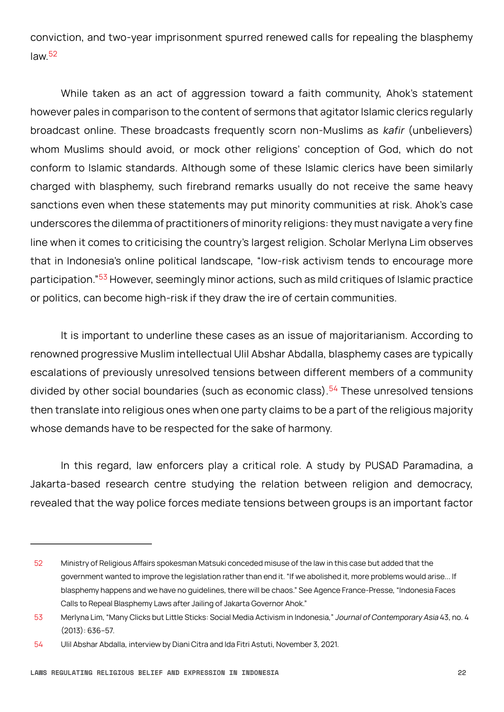conviction, and two-year imprisonment spurred renewed calls for repealing the blasphemy law $52$ 

While taken as an act of aggression toward a faith community, Ahok's statement however pales in comparison to the content of sermons that agitator Islamic clerics regularly broadcast online. These broadcasts frequently scorn non-Muslims as kafir (unbelievers) whom Muslims should avoid, or mock other religions' conception of God, which do not conform to Islamic standards. Although some of these Islamic clerics have been similarly charged with blasphemy, such firebrand remarks usually do not receive the same heavy sanctions even when these statements may put minority communities at risk. Ahok's case underscores the dilemma of practitioners of minority religions: they must navigate a very fine line when it comes to criticising the country's largest religion. Scholar Merlyna Lim observes that in Indonesia's online political landscape, "low-risk activism tends to encourage more participation."53 However, seemingly minor actions, such as mild critiques of Islamic practice or politics, can become high-risk if they draw the ire of certain communities.

It is important to underline these cases as an issue of majoritarianism. According to renowned progressive Muslim intellectual Ulil Abshar Abdalla, blasphemy cases are typically escalations of previously unresolved tensions between different members of a community divided by other social boundaries (such as economic class).<sup>54</sup> These unresolved tensions then translate into religious ones when one party claims to be a part of the religious majority whose demands have to be respected for the sake of harmony.

In this regard, law enforcers play a critical role. A study by PUSAD Paramadina, a Jakarta-based research centre studying the relation between religion and democracy, revealed that the way police forces mediate tensions between groups is an important factor

<sup>52</sup> Ministry of Religious Affairs spokesman Matsuki conceded misuse of the law in this case but added that the government wanted to improve the legislation rather than end it. "If we abolished it, more problems would arise... If blasphemy happens and we have no guidelines, there will be chaos." See Agence France-Presse, "Indonesia Faces Calls to Repeal Blasphemy Laws after Jailing of Jakarta Governor Ahok."

<sup>53</sup> Merlyna Lim, "Many Clicks but Little Sticks: Social Media Activism in Indonesia," Journal of Contemporary Asia 43, no. 4 (2013): 636–57.

<sup>54</sup> Ulil Abshar Abdalla, interview by Diani Citra and Ida Fitri Astuti, November 3, 2021.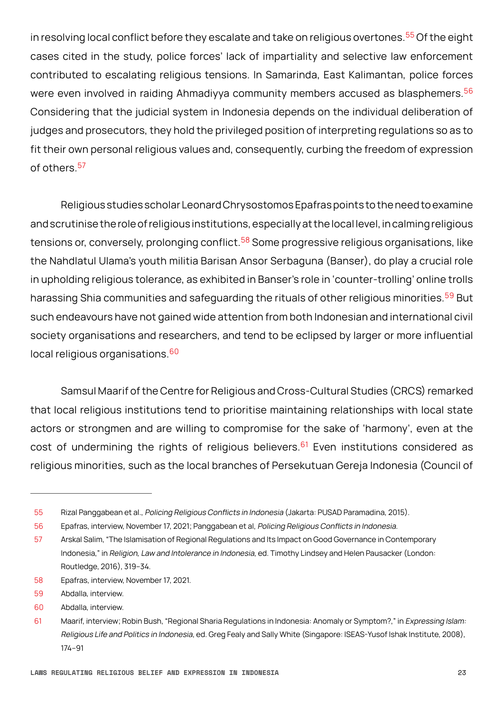in resolving local conflict before they escalate and take on religious overtones.<sup>55</sup> Of the eight cases cited in the study, police forces' lack of impartiality and selective law enforcement contributed to escalating religious tensions. In Samarinda, East Kalimantan, police forces were even involved in raiding Ahmadiyya community members accused as blasphemers.<sup>56</sup> Considering that the judicial system in Indonesia depends on the individual deliberation of judges and prosecutors, they hold the privileged position of interpreting regulations so as to fit their own personal religious values and, consequently, curbing the freedom of expression of others.<sup>57</sup>

Religious studies scholar Leonard Chrysostomos Epafras points to the need to examine and scrutinise the role of religious institutions, especially at the local level, in calming religious tensions or, conversely, prolonging conflict.<sup>58</sup> Some progressive religious organisations, like the Nahdlatul Ulama's youth militia Barisan Ansor Serbaguna (Banser), do play a crucial role in upholding religious tolerance, as exhibited in Banser's role in 'counter-trolling' online trolls harassing Shia communities and safeguarding the rituals of other religious minorities.<sup>59</sup> But such endeavours have not gained wide attention from both Indonesian and international civil society organisations and researchers, and tend to be eclipsed by larger or more influential local religious organisations.<sup>60</sup>

 Samsul Maarif of the Centre for Religious and Cross-Cultural Studies (CRCS) remarked that local religious institutions tend to prioritise maintaining relationships with local state actors or strongmen and are willing to compromise for the sake of 'harmony', even at the cost of undermining the rights of religious believers. $61$  Even institutions considered as religious minorities, such as the local branches of Persekutuan Gereja Indonesia (Council of

<sup>55</sup> Rizal Panggabean et al., Policing Religious Conflicts in Indonesia (Jakarta: PUSAD Paramadina, 2015).

<sup>56</sup> Epafras, interview, November 17, 2021; Panggabean et al, Policing Religious Conflicts in Indonesia.

<sup>57</sup> Arskal Salim, "The Islamisation of Regional Regulations and Its Impact on Good Governance in Contemporary Indonesia," in Religion, Law and Intolerance in Indonesia, ed. Timothy Lindsey and Helen Pausacker (London: Routledge, 2016), 319–34.

<sup>58</sup> Epafras, interview, November 17, 2021.

<sup>59</sup> Abdalla, interview.

<sup>60</sup> Abdalla, interview.

<sup>61</sup> Maarif, interview; Robin Bush, "Regional Sharia Regulations in Indonesia: Anomaly or Symptom?," in Expressing Islam: Religious Life and Politics in Indonesia, ed. Greg Fealy and Sally White (Singapore: ISEAS-Yusof Ishak Institute, 2008), 174–91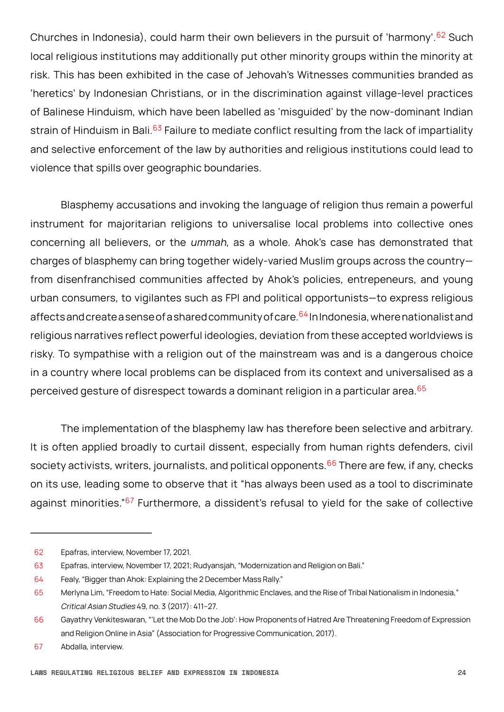Churches in Indonesia), could harm their own believers in the pursuit of 'harmony'.<sup>62</sup> Such local religious institutions may additionally put other minority groups within the minority at risk. This has been exhibited in the case of Jehovah's Witnesses communities branded as 'heretics' by Indonesian Christians, or in the discrimination against village-level practices of Balinese Hinduism, which have been labelled as 'misguided' by the now-dominant Indian strain of Hinduism in Bali.<sup>63</sup> Failure to mediate conflict resulting from the lack of impartiality and selective enforcement of the law by authorities and religious institutions could lead to violence that spills over geographic boundaries.

Blasphemy accusations and invoking the language of religion thus remain a powerful instrument for majoritarian religions to universalise local problems into collective ones concerning all believers, or the ummah, as a whole. Ahok's case has demonstrated that charges of blasphemy can bring together widely-varied Muslim groups across the country from disenfranchised communities affected by Ahok's policies, entrepeneurs, and young urban consumers, to vigilantes such as FPI and political opportunists—to express religious affects and create a sense of a shared community of care.  $64$  In Indonesia, where nationalist and religious narratives reflect powerful ideologies, deviation from these accepted worldviews is risky. To sympathise with a religion out of the mainstream was and is a dangerous choice in a country where local problems can be displaced from its context and universalised as a perceived gesture of disrespect towards a dominant religion in a particular area.<sup>65</sup>

The implementation of the blasphemy law has therefore been selective and arbitrary. It is often applied broadly to curtail dissent, especially from human rights defenders, civil society activists, writers, journalists, and political opponents.<sup>66</sup> There are few, if any, checks on its use, leading some to observe that it "has always been used as a tool to discriminate against minorities."<sup>67</sup> Furthermore, a dissident's refusal to yield for the sake of collective

<sup>62</sup> Epafras, interview, November 17, 2021.

<sup>63</sup> Epafras, interview, November 17, 2021; Rudyansjah, "Modernization and Religion on Bali."

<sup>64</sup> Fealy, "Bigger than Ahok: Explaining the 2 December Mass Rally."

<sup>65</sup> Merlyna Lim, "Freedom to Hate: Social Media, Algorithmic Enclaves, and the Rise of Tribal Nationalism in Indonesia," Critical Asian Studies 49, no. 3 (2017): 411–27.

<sup>66</sup> Gayathry Venkiteswaran, "'Let the Mob Do the Job': How Proponents of Hatred Are Threatening Freedom of Expression and Religion Online in Asia" (Association for Progressive Communication, 2017).

<sup>67</sup> Abdalla, interview.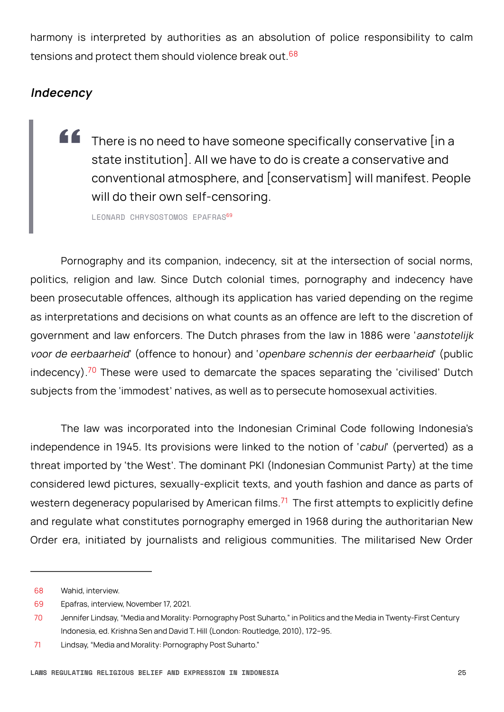<span id="page-24-0"></span>harmony is interpreted by authorities as an absolution of police responsibility to calm tensions and protect them should violence break out.<sup>68</sup>

#### **Indecency**

" There is no need to have someone specifically conservative [in a state institution]. All we have to do is create a conservative and conventional atmosphere, and [conservatism] will manifest. People will do their own self-censoring.

LEONARD CHRYSOSTOMOS EPAFRAS<sup>69</sup>

Pornography and its companion, indecency, sit at the intersection of social norms, politics, religion and law. Since Dutch colonial times, pornography and indecency have been prosecutable offences, although its application has varied depending on the regime as interpretations and decisions on what counts as an offence are left to the discretion of government and law enforcers. The Dutch phrases from the law in 1886 were 'aanstotelijk voor de eerbaarheid' (offence to honour) and 'openbare schennis der eerbaarheid' (public indecency).<sup>70</sup> These were used to demarcate the spaces separating the 'civilised' Dutch subjects from the 'immodest' natives, as well as to persecute homosexual activities.

The law was incorporated into the Indonesian Criminal Code following Indonesia's independence in 1945. Its provisions were linked to the notion of 'cabul' (perverted) as a threat imported by 'the West'. The dominant PKI (Indonesian Communist Party) at the time considered lewd pictures, sexually-explicit texts, and youth fashion and dance as parts of western degeneracy popularised by American films. $71$  The first attempts to explicitly define and regulate what constitutes pornography emerged in 1968 during the authoritarian New Order era, initiated by journalists and religious communities. The militarised New Order

<sup>68</sup> Wahid, interview.

<sup>69</sup> Epafras, interview, November 17, 2021.

<sup>70</sup> Jennifer Lindsay, "Media and Morality: Pornography Post Suharto," in Politics and the Media in Twenty-First Century Indonesia, ed. Krishna Sen and David T. Hill (London: Routledge, 2010), 172–95.

<sup>71</sup> Lindsay, "Media and Morality: Pornography Post Suharto."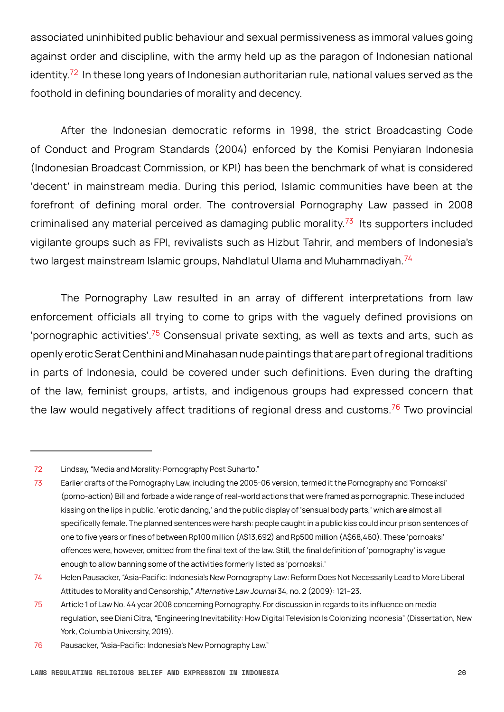associated uninhibited public behaviour and sexual permissiveness as immoral values going against order and discipline, with the army held up as the paragon of Indonesian national identity.<sup>72</sup> In these long years of Indonesian authoritarian rule, national values served as the foothold in defining boundaries of morality and decency.

After the Indonesian democratic reforms in 1998, the strict Broadcasting Code of Conduct and Program Standards (2004) enforced by the Komisi Penyiaran Indonesia (Indonesian Broadcast Commission, or KPI) has been the benchmark of what is considered 'decent' in mainstream media. During this period, Islamic communities have been at the forefront of defining moral order. The controversial Pornography Law passed in 2008 criminalised any material perceived as damaging public morality. $73$  Its supporters included vigilante groups such as FPI, revivalists such as Hizbut Tahrir, and members of Indonesia's two largest mainstream Islamic groups, Nahdlatul Ulama and Muhammadiyah.<sup>74</sup>

The Pornography Law resulted in an array of different interpretations from law enforcement officials all trying to come to grips with the vaguely defined provisions on 'pornographic activities'.<sup>75</sup> Consensual private sexting, as well as texts and arts, such as openly erotic Serat Centhini and Minahasan nude paintings that are part of regional traditions in parts of Indonesia, could be covered under such definitions. Even during the drafting of the law, feminist groups, artists, and indigenous groups had expressed concern that the law would negatively affect traditions of regional dress and customs.<sup>76</sup> Two provincial

<sup>72</sup> Lindsay, "Media and Morality: Pornography Post Suharto."

<sup>73</sup> Earlier drafts of the Pornography Law, including the 2005-06 version, termed it the Pornography and 'Pornoaksi' (porno-action) Bill and forbade a wide range of real-world actions that were framed as pornographic. These included kissing on the lips in public, 'erotic dancing,' and the public display of 'sensual body parts,' which are almost all specifically female. The planned sentences were harsh: people caught in a public kiss could incur prison sentences of one to five years or fines of between Rp100 million (A\$13,692) and Rp500 million (A\$68,460). These 'pornoaksi' offences were, however, omitted from the final text of the law. Still, the final definition of 'pornography' is vague enough to allow banning some of the activities formerly listed as 'pornoaksi.'

<sup>74</sup> Helen Pausacker, "Asia-Pacific: Indonesia's New Pornography Law: Reform Does Not Necessarily Lead to More Liberal Attitudes to Morality and Censorship," Alternative Law Journal 34, no. 2 (2009): 121–23.

<sup>75</sup> Article 1 of Law No. 44 year 2008 concerning Pornography. For discussion in regards to its influence on media regulation, see Diani Citra, "Engineering Inevitability: How Digital Television Is Colonizing Indonesia" (Dissertation, New York, Columbia University, 2019).

<sup>76</sup> Pausacker, "Asia-Pacific: Indonesia's New Pornography Law."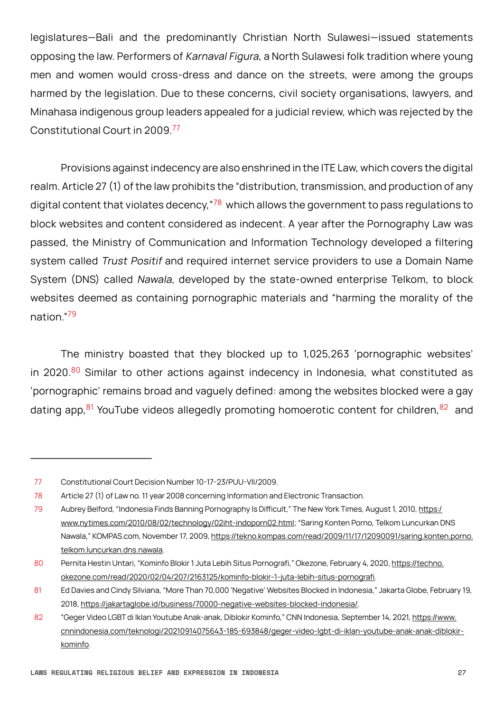legislatures—Bali and the predominantly Christian North Sulawesi—issued statements opposing the law. Performers of Karnaval Figura, a North Sulawesi folk tradition where young men and women would cross-dress and dance on the streets, were among the groups harmed by the legislation. Due to these concerns, civil society organisations, lawyers, and Minahasa indigenous group leaders appealed for a judicial review, which was rejected by the Constitutional Court in 2009.<sup>77</sup>

Provisions against indecency are also enshrined in the ITE Law, which covers the digital realm. Article 27 (1) of the law prohibits the "distribution, transmission, and production of any digital content that violates decency,  $78$  which allows the government to pass regulations to block websites and content considered as indecent. A year after the Pornography Law was passed, the Ministry of Communication and Information Technology developed a filtering system called Trust Positif and required internet service providers to use a Domain Name System (DNS) called Nawala, developed by the state-owned enterprise Telkom, to block websites deemed as containing pornographic materials and "harming the morality of the nation."<sup>79</sup>

The ministry boasted that they blocked up to 1,025,263 'pornographic websites' in 2020. $80$  Similar to other actions against indecency in Indonesia, what constituted as 'pornographic' remains broad and vaguely defined: among the websites blocked were a gay dating app,  $81$  YouTube videos allegedly promoting homoerotic content for children,  $82$  and

<sup>77</sup> Constitutional Court Decision Number 10-17-23/PUU-VII/2009.

<sup>78</sup> Article 27 (1) of Law no. 11 year 2008 concerning Information and Electronic Transaction.

<sup>79</sup> Aubrey Belford, "Indonesia Finds Banning Pornography Is Difficult," The New York Times, August 1, 2010, [https:/](https://www.nytimes.com/2010/08/02/technology/02iht-indoporn02.html) [www.nytimes.com/2010/08/02/technology/02iht-indoporn02.html;](https://www.nytimes.com/2010/08/02/technology/02iht-indoporn02.html) "Saring Konten Porno, Telkom Luncurkan DNS Nawala," KOMPAS.com, November 17, 2009, [https://tekno.kompas.com/read/2009/11/17/12090091/saring.konten.porno.](https://tekno.kompas.com/read/2009/11/17/12090091/saring.konten.porno.telkom.luncurkan.dns.nawala) [telkom.luncurkan.dns.nawala](https://tekno.kompas.com/read/2009/11/17/12090091/saring.konten.porno.telkom.luncurkan.dns.nawala).

<sup>80</sup> Pernita Hestin Untari, "Kominfo Blokir 1 Juta Lebih Situs Pornografi," Okezone, February 4, 2020, [https://techno.](https://techno.okezone.com/read/2020/02/04/207/2163125/kominfo-blokir-1-juta-lebih-situs-pornografi) [okezone.com/read/2020/02/04/207/2163125/kominfo-blokir-1-juta-lebih-situs-pornografi](https://techno.okezone.com/read/2020/02/04/207/2163125/kominfo-blokir-1-juta-lebih-situs-pornografi).

<sup>81</sup> Ed Davies and Cindy Silviana, "More Than 70,000 'Negative' Websites Blocked in Indonesia," Jakarta Globe, February 19, 2018, <https://jakartaglobe.id/business/70000-negative-websites-blocked-indonesia/>.

<sup>82</sup> "Geger Video LGBT di Iklan Youtube Anak-anak, Diblokir Kominfo," CNN Indonesia, September 14, 2021, [https://www.](https://www.cnnindonesia.com/teknologi/20210914075643-185-693848/geger-video-lgbt-di-iklan-youtube-anak-anak-diblokir-kominfo) [cnnindonesia.com/teknologi/20210914075643-185-693848/geger-video-lgbt-di-iklan-youtube-anak-anak-diblokir](https://www.cnnindonesia.com/teknologi/20210914075643-185-693848/geger-video-lgbt-di-iklan-youtube-anak-anak-diblokir-kominfo)[kominfo.](https://www.cnnindonesia.com/teknologi/20210914075643-185-693848/geger-video-lgbt-di-iklan-youtube-anak-anak-diblokir-kominfo)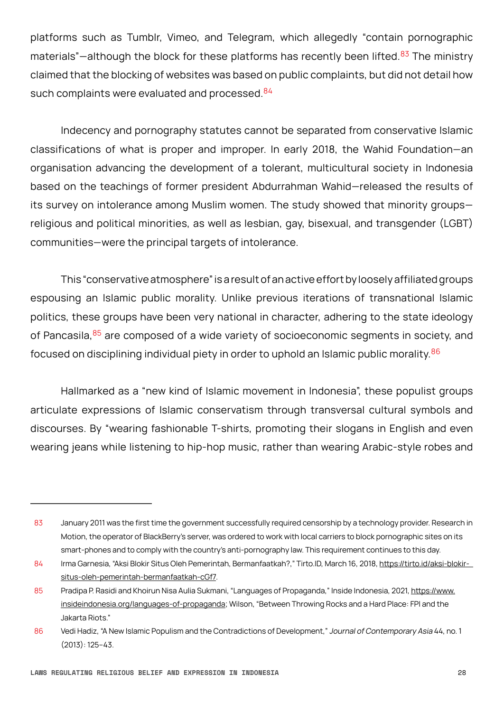platforms such as Tumblr, Vimeo, and Telegram, which allegedly "contain pornographic materials"—although the block for these platforms has recently been lifted. $83$  The ministry claimed that the blocking of websites was based on public complaints, but did not detail how such complaints were evaluated and processed.<sup>84</sup>

Indecency and pornography statutes cannot be separated from conservative Islamic classifications of what is proper and improper. In early 2018, the Wahid Foundation—an organisation advancing the development of a tolerant, multicultural society in Indonesia based on the teachings of former president Abdurrahman Wahid—released the results of its survey on intolerance among Muslim women. The study showed that minority groups religious and political minorities, as well as lesbian, gay, bisexual, and transgender (LGBT) communities—were the principal targets of intolerance.

This "conservative atmosphere" is a result of an active effort by loosely affiliated groups espousing an Islamic public morality. Unlike previous iterations of transnational Islamic politics, these groups have been very national in character, adhering to the state ideology of Pancasila,  $85$  are composed of a wide variety of socioeconomic segments in society, and focused on disciplining individual piety in order to uphold an Islamic public morality.<sup>86</sup>

Hallmarked as a "new kind of Islamic movement in Indonesia", these populist groups articulate expressions of Islamic conservatism through transversal cultural symbols and discourses. By "wearing fashionable T-shirts, promoting their slogans in English and even wearing jeans while listening to hip-hop music, rather than wearing Arabic-style robes and

<sup>83</sup> January 2011 was the first time the government successfully required censorship by a technology provider. Research in Motion, the operator of BlackBerry's server, was ordered to work with local carriers to block pornographic sites on its smart-phones and to comply with the country's anti-pornography law. This requirement continues to this day.

<sup>84</sup> Irma Garnesia, "Aksi Blokir Situs Oleh Pemerintah, Bermanfaatkah?," Tirto.ID, March 16, 2018, https://tirto.id/aksi-blokir[situs-oleh-pemerintah-bermanfaatkah-cGf7](https://tirto.id/aksi-blokir-situs-oleh-pemerintah-bermanfaatkah-cGf7).

<sup>85</sup> Pradipa P. Rasidi and Khoirun Nisa Aulia Sukmani, "Languages of Propaganda," Inside Indonesia, 2021, [https://www.](https://www.insideindonesia.org/languages-of-propaganda) [insideindonesia.org/languages-of-propaganda](https://www.insideindonesia.org/languages-of-propaganda); Wilson, "Between Throwing Rocks and a Hard Place: FPI and the Jakarta Riots."

<sup>86</sup> Vedi Hadiz, "A New Islamic Populism and the Contradictions of Development," Journal of Contemporary Asia 44, no. 1 (2013): 125–43.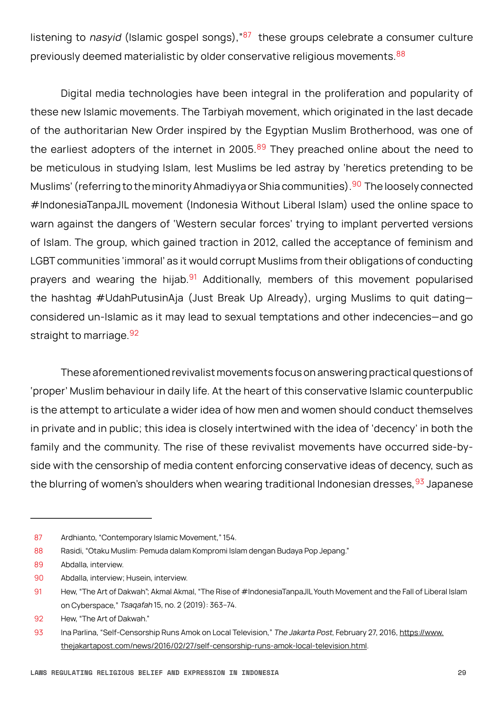listening to nasyid (Islamic gospel songs),  $87$  these groups celebrate a consumer culture previously deemed materialistic by older conservative religious movements. <sup>88</sup>

Digital media technologies have been integral in the proliferation and popularity of these new Islamic movements. The Tarbiyah movement, which originated in the last decade of the authoritarian New Order inspired by the Egyptian Muslim Brotherhood, was one of the earliest adopters of the internet in 2005.<sup>89</sup> They preached online about the need to be meticulous in studying Islam, lest Muslims be led astray by 'heretics pretending to be Muslims' (referring to the minority Ahmadiyya or Shia communities).<sup>90</sup> The loosely connected #IndonesiaTanpaJIL movement (Indonesia Without Liberal Islam) used the online space to warn against the dangers of 'Western secular forces' trying to implant perverted versions of Islam. The group, which gained traction in 2012, called the acceptance of feminism and LGBT communities 'immoral' as it would corrupt Muslims from their obligations of conducting prayers and wearing the hijab.<sup>91</sup> Additionally, members of this movement popularised the hashtag #UdahPutusinAja (Just Break Up Already), urging Muslims to quit dating considered un-Islamic as it may lead to sexual temptations and other indecencies—and go straight to marriage. 92

These aforementioned revivalist movements focus on answering practical questions of 'proper' Muslim behaviour in daily life. At the heart of this conservative Islamic counterpublic is the attempt to articulate a wider idea of how men and women should conduct themselves in private and in public; this idea is closely intertwined with the idea of 'decency' in both the family and the community. The rise of these revivalist movements have occurred side-byside with the censorship of media content enforcing conservative ideas of decency, such as the blurring of women's shoulders when wearing traditional Indonesian dresses, <sup>93</sup> Japanese

<sup>87</sup> Ardhianto, "Contemporary Islamic Movement," 154.

<sup>88</sup> Rasidi, "Otaku Muslim: Pemuda dalam Kompromi Islam dengan Budaya Pop Jepang."

<sup>89</sup> Abdalla, interview.

<sup>90</sup> Abdalla, interview; Husein, interview.

<sup>91</sup> Hew, "The Art of Dakwah"; Akmal Akmal, "The Rise of #IndonesiaTanpaJIL Youth Movement and the Fall of Liberal Islam on Cyberspace," Tsaqafah 15, no. 2 (2019): 363–74.

<sup>92</sup> Hew, "The Art of Dakwah."

<sup>93</sup> Ina Parlina, "Self-Censorship Runs Amok on Local Television," The Jakarta Post, February 27, 2016, [https://www.](https://www.thejakartapost.com/news/2016/02/27/self-censorship-runs-amok-local-television.html) [thejakartapost.com/news/2016/02/27/self-censorship-runs-amok-local-television.html](https://www.thejakartapost.com/news/2016/02/27/self-censorship-runs-amok-local-television.html).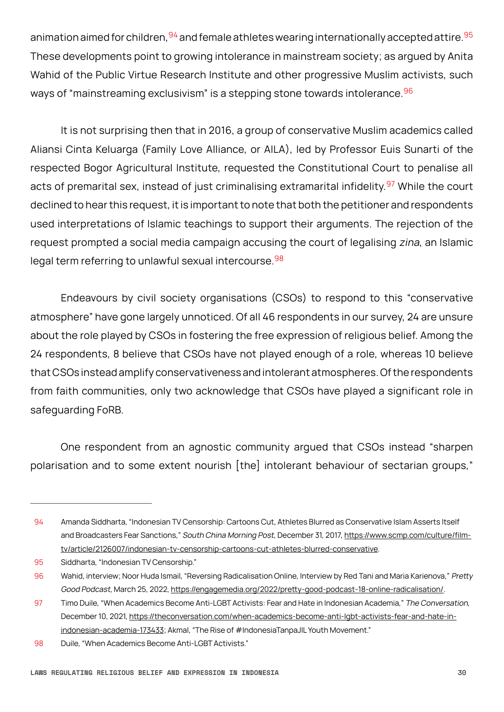animation aimed for children,  $94$  and female athletes wearing internationally accepted attire.  $95$ These developments point to growing intolerance in mainstream society; as argued by Anita Wahid of the Public Virtue Research Institute and other progressive Muslim activists, such ways of "mainstreaming exclusivism" is a stepping stone towards intolerance. <sup>96</sup>

It is not surprising then that in 2016, a group of conservative Muslim academics called Aliansi Cinta Keluarga (Family Love Alliance, or AILA), led by Professor Euis Sunarti of the respected Bogor Agricultural Institute, requested the Constitutional Court to penalise all acts of premarital sex, instead of just criminalising extramarital infidelity.<sup>97</sup> While the court declined to hear this request, it is important to note that both the petitioner and respondents used interpretations of Islamic teachings to support their arguments. The rejection of the request prompted a social media campaign accusing the court of legalising zina, an Islamic legal term referring to unlawful sexual intercourse. 98

 Endeavours by civil society organisations (CSOs) to respond to this "conservative atmosphere" have gone largely unnoticed. Of all 46 respondents in our survey, 24 are unsure about the role played by CSOs in fostering the free expression of religious belief. Among the 24 respondents, 8 believe that CSOs have not played enough of a role, whereas 10 believe that CSOs instead amplify conservativeness and intolerant atmospheres. Of the respondents from faith communities, only two acknowledge that CSOs have played a significant role in safeguarding FoRB.

One respondent from an agnostic community argued that CSOs instead "sharpen polarisation and to some extent nourish [the] intolerant behaviour of sectarian groups,"

<sup>94</sup> Amanda Siddharta, "Indonesian TV Censorship: Cartoons Cut, Athletes Blurred as Conservative Islam Asserts Itself and Broadcasters Fear Sanctions," South China Morning Post, December 31, 2017, [https://www.scmp.com/culture/film](https://www.scmp.com/culture/film-tv/article/2126007/indonesian-tv-censorship-cartoons-cut-athletes-blurred-conservative)[tv/article/2126007/indonesian-tv-censorship-cartoons-cut-athletes-blurred-conservative](https://www.scmp.com/culture/film-tv/article/2126007/indonesian-tv-censorship-cartoons-cut-athletes-blurred-conservative).

<sup>95</sup> Siddharta, "Indonesian TV Censorship."

<sup>96</sup> Wahid, interview; Noor Huda Ismail, "Reversing Radicalisation Online, Interview by Red Tani and Maria Karienova," Pretty Good Podcast, March 25, 2022, <https://engagemedia.org/2022/pretty-good-podcast-18-online-radicalisation/>.

<sup>97</sup> Timo Duile, "When Academics Become Anti-LGBT Activists: Fear and Hate in Indonesian Academia," The Conversation, December 10, 2021, [https://theconversation.com/when-academics-become-anti-lgbt-activists-fear-and-hate-in](https://theconversation.com/when-academics-become-anti-lgbt-activists-fear-and-hate-in-indonesian-academia-173433)[indonesian-academia-173433;](https://theconversation.com/when-academics-become-anti-lgbt-activists-fear-and-hate-in-indonesian-academia-173433) Akmal, "The Rise of #IndonesiaTanpaJIL Youth Movement."

<sup>98</sup> Duile, "When Academics Become Anti-LGBT Activists."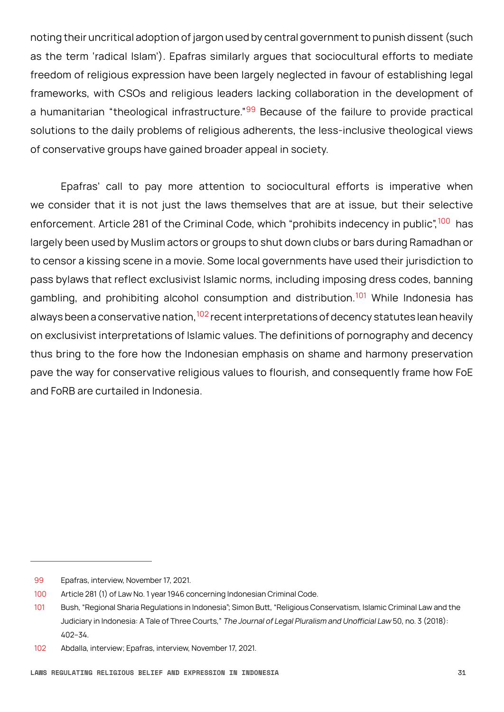noting their uncritical adoption of jargon used by central government to punish dissent (such as the term 'radical Islam'). Epafras similarly argues that sociocultural efforts to mediate freedom of religious expression have been largely neglected in favour of establishing legal frameworks, with CSOs and religious leaders lacking collaboration in the development of a humanitarian "theological infrastructure."<sup>99</sup> Because of the failure to provide practical solutions to the daily problems of religious adherents, the less-inclusive theological views of conservative groups have gained broader appeal in society.

Epafras' call to pay more attention to sociocultural efforts is imperative when we consider that it is not just the laws themselves that are at issue, but their selective enforcement. Article 281 of the Criminal Code, which "prohibits indecency in public",<sup>100</sup> has largely been used by Muslim actors or groups to shut down clubs or bars during Ramadhan or to censor a kissing scene in a movie. Some local governments have used their jurisdiction to pass bylaws that reflect exclusivist Islamic norms, including imposing dress codes, banning gambling, and prohibiting alcohol consumption and distribution.<sup>101</sup> While Indonesia has always been a conservative nation,  $102$  recent interpretations of decency statutes lean heavily on exclusivist interpretations of Islamic values. The definitions of pornography and decency thus bring to the fore how the Indonesian emphasis on shame and harmony preservation pave the way for conservative religious values to flourish, and consequently frame how FoE and FoRB are curtailed in Indonesia.

<sup>99</sup> Epafras, interview, November 17, 2021.

<sup>100</sup> Article 281 (1) of Law No. 1 year 1946 concerning Indonesian Criminal Code.

<sup>101</sup> Bush, "Regional Sharia Regulations in Indonesia"; Simon Butt, "Religious Conservatism, Islamic Criminal Law and the Judiciary in Indonesia: A Tale of Three Courts," The Journal of Legal Pluralism and Unofficial Law 50, no. 3 (2018): 402–34.

<sup>102</sup> Abdalla, interview; Epafras, interview, November 17, 2021.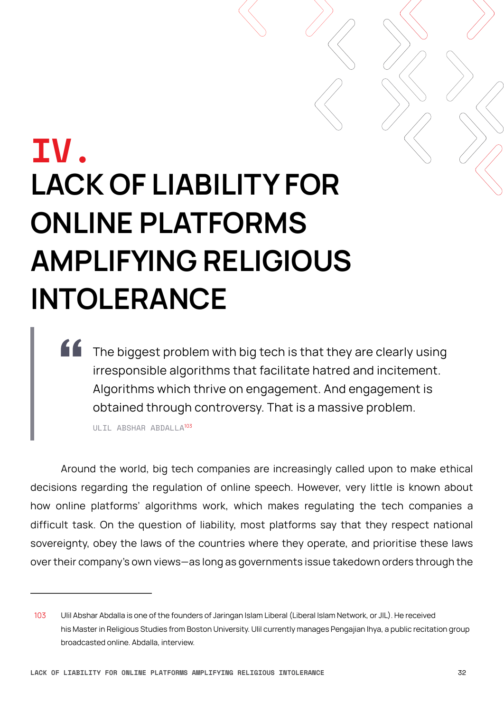## <span id="page-31-0"></span>**IV. LACK OF LIABILITY FOR ONLINE PLATFORMS AMPLIFYING RELIGIOUS INTOLERANCE**

The biggest problem with big tech is that they are clearly using irresponsible algorithms that facilitate hatred and incitement. Algorithms which thrive on engagement. And engagement is obtained through controversy. That is a massive problem.

ULIL ABSHAR ABDALLA<sup>103</sup>

Around the world, big tech companies are increasingly called upon to make ethical decisions regarding the regulation of online speech. However, very little is known about how online platforms' algorithms work, which makes regulating the tech companies a difficult task. On the question of liability, most platforms say that they respect national sovereignty, obey the laws of the countries where they operate, and prioritise these laws over their company's own views—as long as governments issue takedown orders through the

<sup>103</sup> Ulil Abshar Abdalla is one of the founders of Jaringan Islam Liberal (Liberal Islam Network, or JIL). He received his Master in Religious Studies from Boston University. Ulil currently manages Pengajian Ihya, a public recitation group broadcasted online. Abdalla, interview.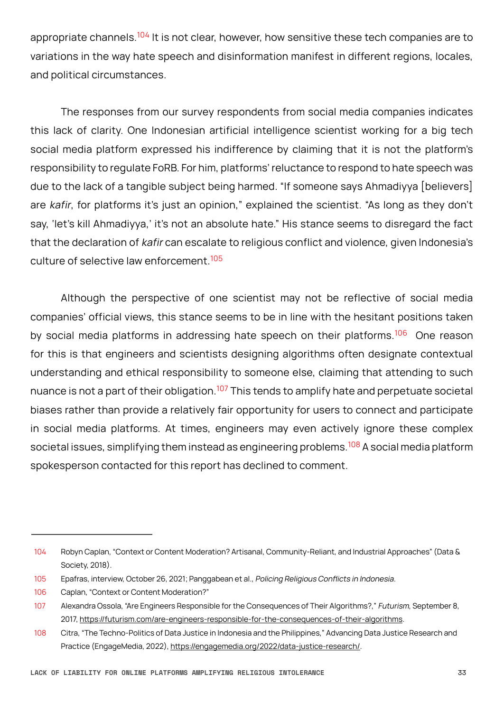appropriate channels.<sup>104</sup> It is not clear, however, how sensitive these tech companies are to variations in the way hate speech and disinformation manifest in different regions, locales, and political circumstances.

The responses from our survey respondents from social media companies indicates this lack of clarity. One Indonesian artificial intelligence scientist working for a big tech social media platform expressed his indifference by claiming that it is not the platform's responsibility to regulate FoRB. For him, platforms' reluctance to respond to hate speech was due to the lack of a tangible subject being harmed. "If someone says Ahmadiyya [believers] are kafir, for platforms it's just an opinion," explained the scientist. "As long as they don't say, 'let's kill Ahmadiyya,' it's not an absolute hate." His stance seems to disregard the fact that the declaration of kafir can escalate to religious conflict and violence, given Indonesia's culture of selective law enforcement.<sup>105</sup>

Although the perspective of one scientist may not be reflective of social media companies' official views, this stance seems to be in line with the hesitant positions taken by social media platforms in addressing hate speech on their platforms.<sup>106</sup> One reason for this is that engineers and scientists designing algorithms often designate contextual understanding and ethical responsibility to someone else, claiming that attending to such nuance is not a part of their obligation.<sup>107</sup> This tends to amplify hate and perpetuate societal biases rather than provide a relatively fair opportunity for users to connect and participate in social media platforms. At times, engineers may even actively ignore these complex societal issues, simplifying them instead as engineering problems.<sup>108</sup> A social media platform spokesperson contacted for this report has declined to comment.

<sup>104</sup> Robyn Caplan, "Context or Content Moderation? Artisanal, Community-Reliant, and Industrial Approaches" (Data & Society, 2018).

<sup>105</sup> Epafras, interview, October 26, 2021; Panggabean et al., Policing Religious Conflicts in Indonesia.

<sup>106</sup> Caplan, "Context or Content Moderation?"

<sup>107</sup> Alexandra Ossola, "Are Engineers Responsible for the Consequences of Their Algorithms?," Futurism, September 8, 2017, <https://futurism.com/are-engineers-responsible-for-the-consequences-of-their-algorithms>.

<sup>108</sup> Citra, "The Techno-Politics of Data Justice in Indonesia and the Philippines," Advancing Data Justice Research and Practice (EngageMedia, 2022), <https://engagemedia.org/2022/data-justice-research/>.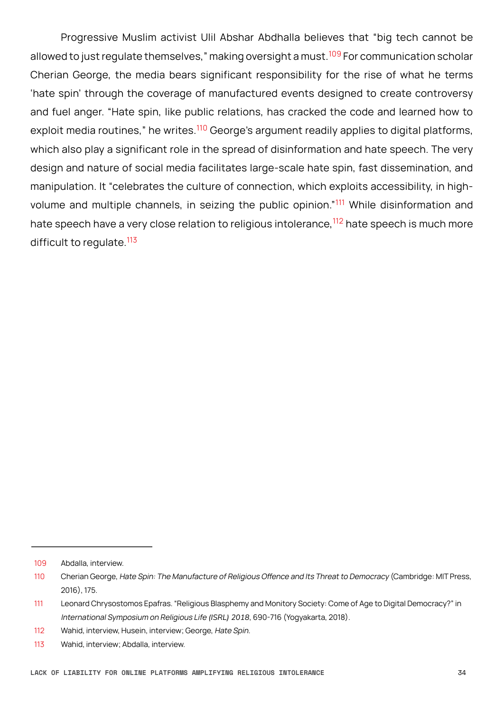Progressive Muslim activist Ulil Abshar Abdhalla believes that "big tech cannot be allowed to just regulate themselves," making oversight a must.<sup>109</sup> For communication scholar Cherian George, the media bears significant responsibility for the rise of what he terms 'hate spin' through the coverage of manufactured events designed to create controversy and fuel anger. "Hate spin, like public relations, has cracked the code and learned how to exploit media routines," he writes.<sup>110</sup> George's argument readily applies to digital platforms, which also play a significant role in the spread of disinformation and hate speech. The very design and nature of social media facilitates large-scale hate spin, fast dissemination, and manipulation. It "celebrates the culture of connection, which exploits accessibility, in highvolume and multiple channels, in seizing the public opinion."<sup>111</sup> While disinformation and hate speech have a very close relation to religious intolerance,<sup>112</sup> hate speech is much more difficult to regulate.<sup>113</sup>

<sup>109</sup> Abdalla, interview.

<sup>110</sup> Cherian George, Hate Spin: The Manufacture of Religious Offence and Its Threat to Democracy (Cambridge: MIT Press, 2016), 175.

<sup>111</sup> Leonard Chrysostomos Epafras. "Religious Blasphemy and Monitory Society: Come of Age to Digital Democracy?" in International Symposium on Religious Life *(ISRL) 2018*, 690-716 (Yogyakarta, 2018).

<sup>112</sup> Wahid, interview, Husein, interview; George, Hate Spin.

<sup>113</sup> Wahid, interview; Abdalla, interview.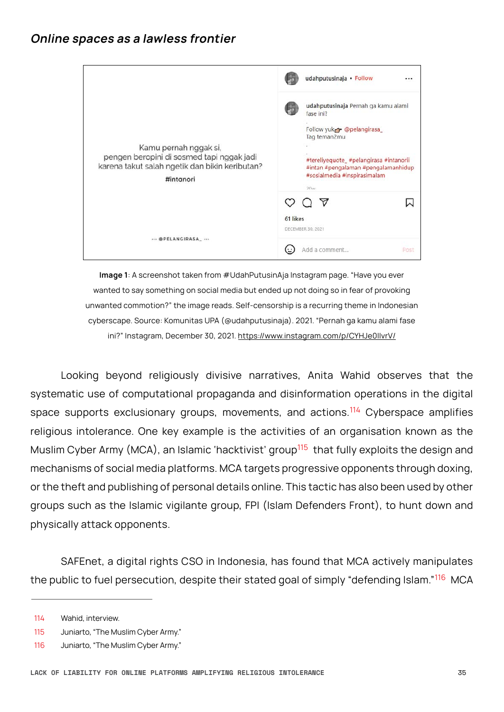<span id="page-34-0"></span>

|                                                                                                                                                   | udahputusinaja · Follow                                                                                                                                                                                            |      |
|---------------------------------------------------------------------------------------------------------------------------------------------------|--------------------------------------------------------------------------------------------------------------------------------------------------------------------------------------------------------------------|------|
| Kamu pernah nggak si,<br>pengen beropini di sosmed tapi nggak jadi<br>karena takut salah ngetik dan bikin keributan?<br>#intanori<br>@PELANGIRASA | udahputusinaja Pernah ga kamu alami<br>fase ini?<br>Follow yuk pelangirasa<br>Tag teman2mu<br>#tereliyequote_#pelangirasa #intanorii<br>#intan #pengalaman #pengalamanhidup<br>#sosialmedia #inspirasimalam<br>20M |      |
|                                                                                                                                                   | $\forall$<br>61 likes<br>DECEMBER 30, 2021                                                                                                                                                                         |      |
|                                                                                                                                                   | Add a comment                                                                                                                                                                                                      | Post |

**Image 1**: A screenshot taken from #UdahPutusinAja Instagram page. "Have you ever wanted to say something on social media but ended up not doing so in fear of provoking unwanted commotion?" the image reads. Self-censorship is a recurring theme in Indonesian cyberscape. Source: Komunitas UPA (@udahputusinaja). 2021. "Pernah ga kamu alami fase ini?" Instagram, December 30, 2021. <https://www.instagram.com/p/CYHJe0llvrV/>

Looking beyond religiously divisive narratives, Anita Wahid observes that the systematic use of computational propaganda and disinformation operations in the digital space supports exclusionary groups, movements, and actions.<sup>114</sup> Cyberspace amplifies religious intolerance. One key example is the activities of an organisation known as the Muslim Cyber Army (MCA), an Islamic 'hacktivist' group<sup>115</sup> that fully exploits the design and mechanisms of social media platforms. MCA targets progressive opponents through doxing, or the theft and publishing of personal details online. This tactic has also been used by other groups such as the Islamic vigilante group, FPI (Islam Defenders Front), to hunt down and physically attack opponents.

SAFEnet, a digital rights CSO in Indonesia, has found that MCA actively manipulates the public to fuel persecution, despite their stated goal of simply "defending Islam."<sup>116</sup> MCA

<sup>114</sup> Wahid, interview.

<sup>115</sup> Juniarto, "The Muslim Cyber Army."

<sup>116</sup> Juniarto, "The Muslim Cyber Army."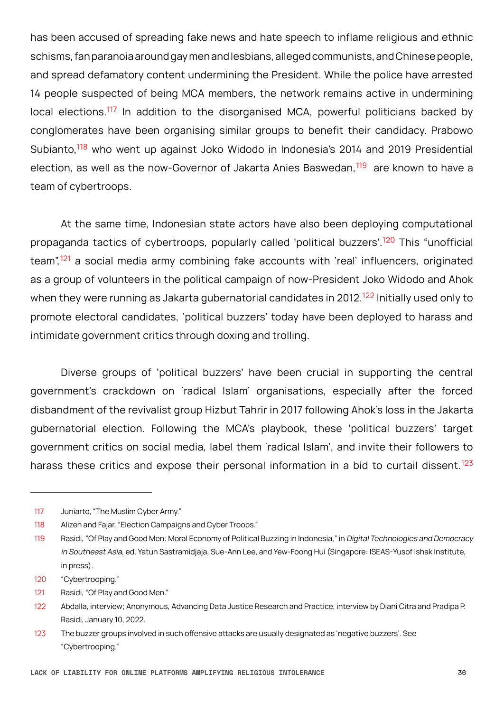has been accused of spreading fake news and hate speech to inflame religious and ethnic schisms, fan paranoia around gay men and lesbians, alleged communists, and Chinese people, and spread defamatory content undermining the President. While the police have arrested 14 people suspected of being MCA members, the network remains active in undermining local elections.<sup>117</sup> In addition to the disorganised MCA, powerful politicians backed by conglomerates have been organising similar groups to benefit their candidacy. Prabowo Subianto,<sup>118</sup> who went up against Joko Widodo in Indonesia's 2014 and 2019 Presidential election, as well as the now-Governor of Jakarta Anies Baswedan,<sup>119</sup> are known to have a team of cybertroops.

At the same time, Indonesian state actors have also been deploying computational propaganda tactics of cybertroops, popularly called 'political buzzers'.<sup>120</sup> This "unofficial team",<sup>121</sup> a social media army combining fake accounts with 'real' influencers, originated as a group of volunteers in the political campaign of now-President Joko Widodo and Ahok when they were running as Jakarta gubernatorial candidates in 2012.<sup>122</sup> Initially used only to promote electoral candidates, 'political buzzers' today have been deployed to harass and intimidate government critics through doxing and trolling.

Diverse groups of 'political buzzers' have been crucial in supporting the central government's crackdown on 'radical Islam' organisations, especially after the forced disbandment of the revivalist group Hizbut Tahrir in 2017 following Ahok's loss in the Jakarta gubernatorial election. Following the MCA's playbook, these 'political buzzers' target government critics on social media, label them 'radical Islam', and invite their followers to harass these critics and expose their personal information in a bid to curtail dissent.<sup>123</sup>

<sup>117</sup> Juniarto, "The Muslim Cyber Army."

<sup>118</sup> Alizen and Fajar, "Election Campaigns and Cyber Troops."

<sup>119</sup> Rasidi, "Of Play and Good Men: Moral Economy of Political Buzzing in Indonesia," in Digital Technologies and Democracy in Southeast Asia, ed. Yatun Sastramidjaja, Sue-Ann Lee, and Yew-Foong Hui (Singapore: ISEAS-Yusof Ishak Institute, in press).

<sup>120</sup> "Cybertrooping."

<sup>121</sup> Rasidi, "Of Play and Good Men."

<sup>122</sup> Abdalla, interview; Anonymous, Advancing Data Justice Research and Practice, interview by Diani Citra and Pradipa P. Rasidi, January 10, 2022.

<sup>123</sup> The buzzer groups involved in such offensive attacks are usually designated as 'negative buzzers'. See "Cybertrooping."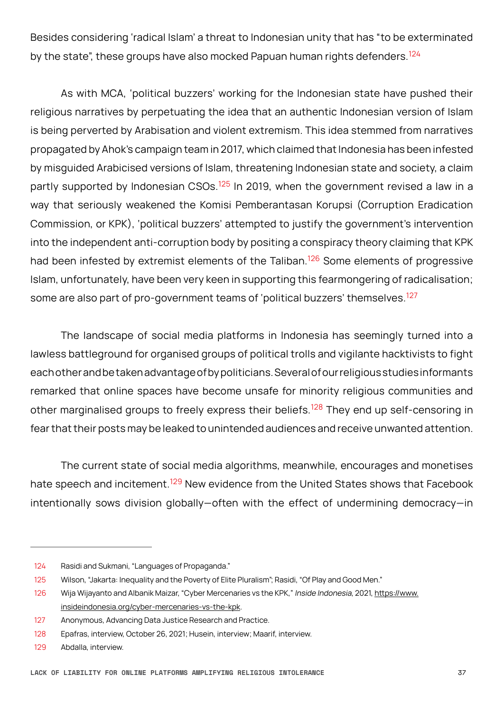Besides considering 'radical Islam' a threat to Indonesian unity that has "to be exterminated by the state", these groups have also mocked Papuan human rights defenders.<sup>124</sup>

As with MCA, 'political buzzers' working for the Indonesian state have pushed their religious narratives by perpetuating the idea that an authentic Indonesian version of Islam is being perverted by Arabisation and violent extremism. This idea stemmed from narratives propagated by Ahok's campaign team in 2017, which claimed that Indonesia has been infested by misguided Arabicised versions of Islam, threatening Indonesian state and society, a claim partly supported by Indonesian CSOs.<sup>125</sup> In 2019, when the government revised a law in a way that seriously weakened the Komisi Pemberantasan Korupsi (Corruption Eradication Commission, or KPK), 'political buzzers' attempted to justify the government's intervention into the independent anti-corruption body by positing a conspiracy theory claiming that KPK had been infested by extremist elements of the Taliban.<sup>126</sup> Some elements of progressive Islam, unfortunately, have been very keen in supporting this fearmongering of radicalisation; some are also part of pro-government teams of 'political buzzers' themselves.<sup>127</sup>

The landscape of social media platforms in Indonesia has seemingly turned into a lawless battleground for organised groups of political trolls and vigilante hacktivists to fight each other and be taken advantage of by politicians. Several of our religious studies informants remarked that online spaces have become unsafe for minority religious communities and other marginalised groups to freely express their beliefs.<sup>128</sup> They end up self-censoring in fear that their posts may be leaked to unintended audiences and receive unwanted attention.

The current state of social media algorithms, meanwhile, encourages and monetises hate speech and incitement.<sup>129</sup> New evidence from the United States shows that Facebook intentionally sows division globally—often with the effect of undermining democracy—in

<sup>124</sup> Rasidi and Sukmani, "Languages of Propaganda."

<sup>125</sup> Wilson, "Jakarta: Inequality and the Poverty of Elite Pluralism"; Rasidi, "Of Play and Good Men."

<sup>126</sup> Wija Wijayanto and Albanik Maizar, "Cyber Mercenaries vs the KPK," Inside Indonesia, 2021, [https://www.](https://www.insideindonesia.org/cyber-mercenaries-vs-the-kpk) [insideindonesia.org/cyber-mercenaries-vs-the-kpk](https://www.insideindonesia.org/cyber-mercenaries-vs-the-kpk).

<sup>127</sup> Anonymous, Advancing Data Justice Research and Practice.

<sup>128</sup> Epafras, interview, October 26, 2021; Husein, interview; Maarif, interview.

<sup>129</sup> Abdalla, interview.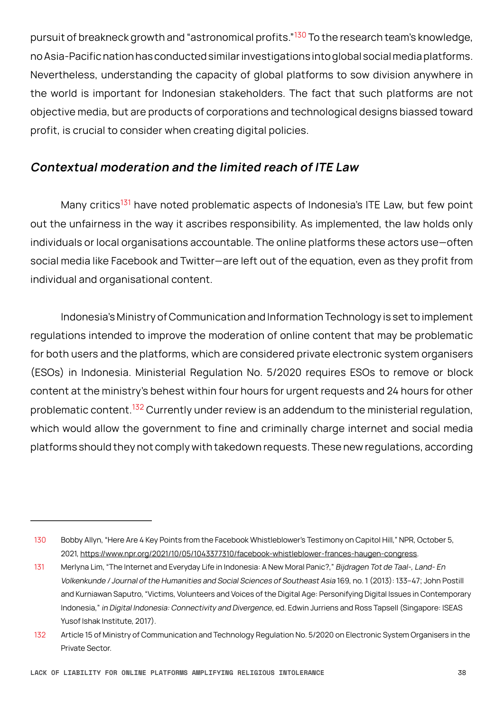<span id="page-37-0"></span>pursuit of breakneck growth and "astronomical profits."<sup>130</sup> To the research team's knowledge, no Asia-Pacific nation has conducted similar investigations into global social media platforms. Nevertheless, understanding the capacity of global platforms to sow division anywhere in the world is important for Indonesian stakeholders. The fact that such platforms are not objective media, but are products of corporations and technological designs biassed toward profit, is crucial to consider when creating digital policies.

#### **Contextual moderation and the limited reach of ITE Law**

Many critics<sup>131</sup> have noted problematic aspects of Indonesia's ITE Law, but few point out the unfairness in the way it ascribes responsibility. As implemented, the law holds only individuals or local organisations accountable. The online platforms these actors use—often social media like Facebook and Twitter—are left out of the equation, even as they profit from individual and organisational content.

Indonesia's Ministry of Communication and Information Technology is set to implement regulations intended to improve the moderation of online content that may be problematic for both users and the platforms, which are considered private electronic system organisers (ESOs) in Indonesia. Ministerial Regulation No. 5/2020 requires ESOs to remove or block content at the ministry's behest within four hours for urgent requests and 24 hours for other problematic content.<sup>132</sup> Currently under review is an addendum to the ministerial regulation, which would allow the government to fine and criminally charge internet and social media platforms should they not comply with takedown requests. These new regulations, according

<sup>130</sup> Bobby Allyn, "Here Are 4 Key Points from the Facebook Whistleblower's Testimony on Capitol Hill," NPR, October 5, 2021, <https://www.npr.org/2021/10/05/1043377310/facebook-whistleblower-frances-haugen-congress>.

<sup>131</sup> Merlyna Lim, "The Internet and Everyday Life in Indonesia: A New Moral Panic?," Bijdragen Tot de Taal-, Land- En Volkenkunde / Journal of the Humanities and Social Sciences of Southeast Asia 169, no. 1 (2013): 133–47; John Postill and Kurniawan Saputro, "Victims, Volunteers and Voices of the Digital Age: Personifying Digital Issues in Contemporary Indonesia," in Digital Indonesia: Connectivity and Divergence, ed. Edwin Jurriens and Ross Tapsell (Singapore: ISEAS Yusof Ishak Institute, 2017).

<sup>132</sup> Article 15 of Ministry of Communication and Technology Regulation No. 5/2020 on Electronic System Organisers in the Private Sector.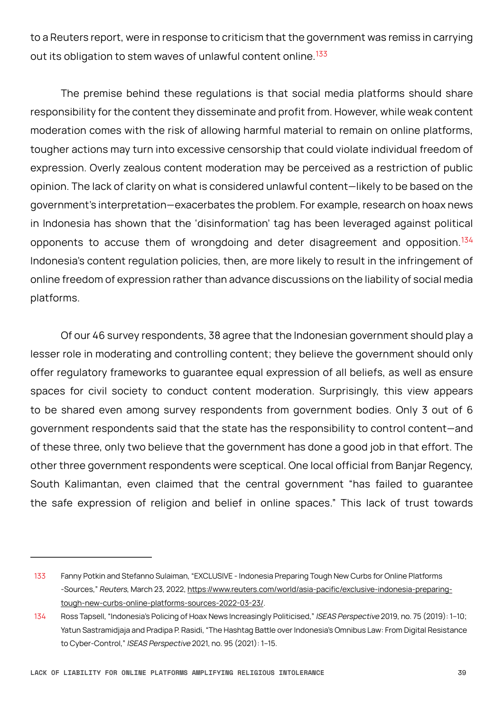to a Reuters report, were in response to criticism that the government was remiss in carrying out its obligation to stem waves of unlawful content online.<sup>133</sup>

The premise behind these regulations is that social media platforms should share responsibility for the content they disseminate and profit from. However, while weak content moderation comes with the risk of allowing harmful material to remain on online platforms, tougher actions may turn into excessive censorship that could violate individual freedom of expression. Overly zealous content moderation may be perceived as a restriction of public opinion. The lack of clarity on what is considered unlawful content—likely to be based on the government's interpretation—exacerbates the problem. For example, research on hoax news in Indonesia has shown that the 'disinformation' tag has been leveraged against political opponents to accuse them of wrongdoing and deter disagreement and opposition.<sup>134</sup> Indonesia's content regulation policies, then, are more likely to result in the infringement of online freedom of expression rather than advance discussions on the liability of social media platforms.

Of our 46 survey respondents, 38 agree that the Indonesian government should play a lesser role in moderating and controlling content; they believe the government should only offer regulatory frameworks to guarantee equal expression of all beliefs, as well as ensure spaces for civil society to conduct content moderation. Surprisingly, this view appears to be shared even among survey respondents from government bodies. Only 3 out of 6 government respondents said that the state has the responsibility to control content—and of these three, only two believe that the government has done a good job in that effort. The other three government respondents were sceptical. One local official from Banjar Regency, South Kalimantan, even claimed that the central government "has failed to guarantee the safe expression of religion and belief in online spaces." This lack of trust towards

<sup>133</sup> Fanny Potkin and Stefanno Sulaiman, "EXCLUSIVE - Indonesia Preparing Tough New Curbs for Online Platforms -Sources," Reuters, March 23, 2022, [https://www.reuters.com/world/asia-pacific/exclusive-indonesia-preparing](https://www.reuters.com/world/asia-pacific/exclusive-indonesia-preparing-tough-new-curbs-online-platforms-sources-2022-03-23/)[tough-new-curbs-online-platforms-sources-2022-03-23/](https://www.reuters.com/world/asia-pacific/exclusive-indonesia-preparing-tough-new-curbs-online-platforms-sources-2022-03-23/).

<sup>134</sup> Ross Tapsell, "Indonesia's Policing of Hoax News Increasingly Politicised," ISEAS Perspective 2019, no. 75 (2019): 1–10; Yatun Sastramidjaja and Pradipa P. Rasidi, "The Hashtag Battle over Indonesia's Omnibus Law: From Digital Resistance to Cyber-Control," ISEAS Perspective 2021, no. 95 (2021): 1–15.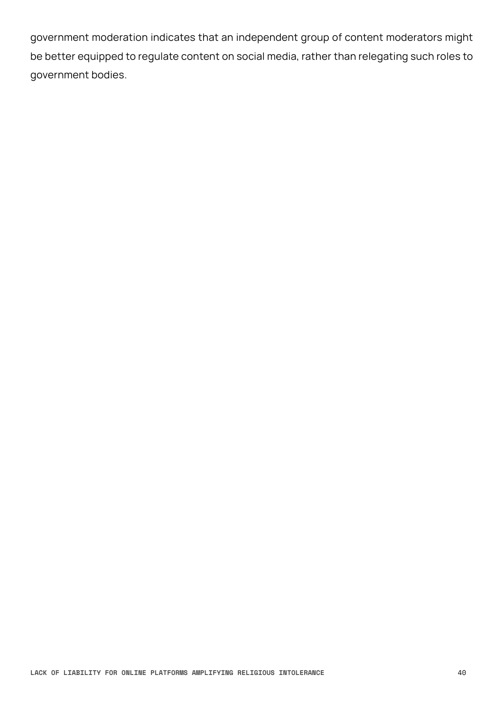government moderation indicates that an independent group of content moderators might be better equipped to regulate content on social media, rather than relegating such roles to government bodies.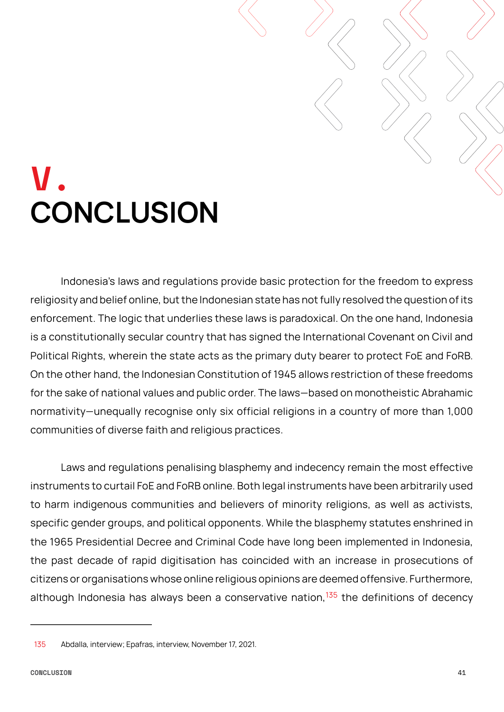### <span id="page-40-0"></span>**V. CONCLUSION**

Indonesia's laws and regulations provide basic protection for the freedom to express religiosity and belief online, but the Indonesian state has not fully resolved the question of its enforcement. The logic that underlies these laws is paradoxical. On the one hand, Indonesia is a constitutionally secular country that has signed the International Covenant on Civil and Political Rights, wherein the state acts as the primary duty bearer to protect FoE and FoRB. On the other hand, the Indonesian Constitution of 1945 allows restriction of these freedoms for the sake of national values and public order. The laws—based on monotheistic Abrahamic normativity—unequally recognise only six official religions in a country of more than 1,000 communities of diverse faith and religious practices.

Laws and regulations penalising blasphemy and indecency remain the most effective instruments to curtail FoE and FoRB online. Both legal instruments have been arbitrarily used to harm indigenous communities and believers of minority religions, as well as activists, specific gender groups, and political opponents. While the blasphemy statutes enshrined in the 1965 Presidential Decree and Criminal Code have long been implemented in Indonesia, the past decade of rapid digitisation has coincided with an increase in prosecutions of citizens or organisations whose online religious opinions are deemed offensive. Furthermore, although Indonesia has always been a conservative nation,  $135$  the definitions of decency

<sup>135</sup> Abdalla, interview; Epafras, interview, November 17, 2021.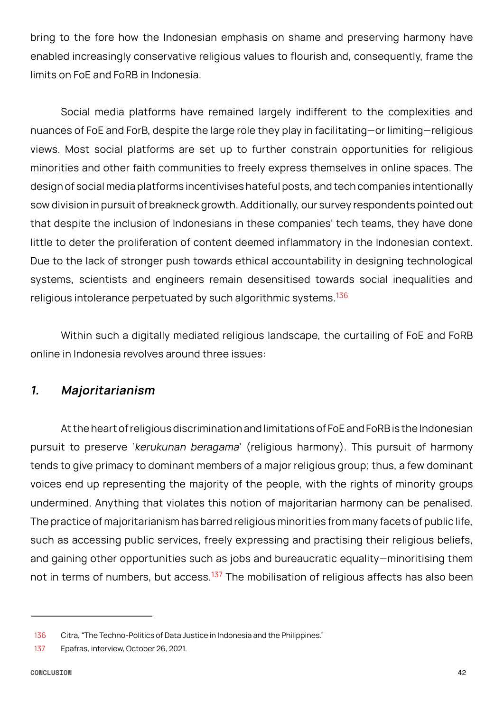<span id="page-41-0"></span>bring to the fore how the Indonesian emphasis on shame and preserving harmony have enabled increasingly conservative religious values to flourish and, consequently, frame the limits on FoE and FoRB in Indonesia.

Social media platforms have remained largely indifferent to the complexities and nuances of FoE and ForB, despite the large role they play in facilitating—or limiting—religious views. Most social platforms are set up to further constrain opportunities for religious minorities and other faith communities to freely express themselves in online spaces. The design of social media platforms incentivises hateful posts, and tech companies intentionally sow division in pursuit of breakneck growth. Additionally, our survey respondents pointed out that despite the inclusion of Indonesians in these companies' tech teams, they have done little to deter the proliferation of content deemed inflammatory in the Indonesian context. Due to the lack of stronger push towards ethical accountability in designing technological systems, scientists and engineers remain desensitised towards social inequalities and religious intolerance perpetuated by such algorithmic systems.<sup>136</sup>

Within such a digitally mediated religious landscape, the curtailing of FoE and FoRB online in Indonesia revolves around three issues:

#### **1. Majoritarianism**

At the heart of religious discrimination and limitations of FoE and FoRB is the Indonesian pursuit to preserve 'kerukunan beragama' (religious harmony). This pursuit of harmony tends to give primacy to dominant members of a major religious group; thus, a few dominant voices end up representing the majority of the people, with the rights of minority groups undermined. Anything that violates this notion of majoritarian harmony can be penalised. The practice of majoritarianism has barred religious minorities from many facets of public life, such as accessing public services, freely expressing and practising their religious beliefs, and gaining other opportunities such as jobs and bureaucratic equality—minoritising them not in terms of numbers, but access.<sup>137</sup> The mobilisation of religious affects has also been

<sup>136</sup> Citra, "The Techno-Politics of Data Justice in Indonesia and the Philippines."

<sup>137</sup> Epafras, interview, October 26, 2021.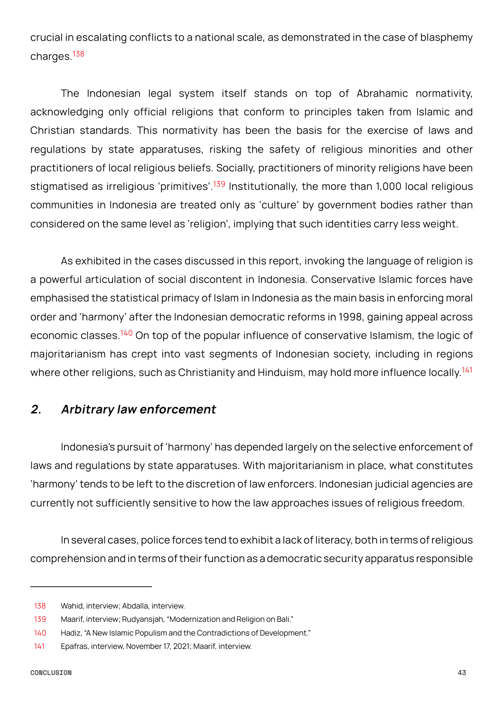<span id="page-42-0"></span>crucial in escalating conflicts to a national scale, as demonstrated in the case of blasphemy charges.<sup>138</sup>

The Indonesian legal system itself stands on top of Abrahamic normativity, acknowledging only official religions that conform to principles taken from Islamic and Christian standards. This normativity has been the basis for the exercise of laws and regulations by state apparatuses, risking the safety of religious minorities and other practitioners of local religious beliefs. Socially, practitioners of minority religions have been stigmatised as irreligious 'primitives'.<sup>139</sup> Institutionally, the more than 1,000 local religious communities in Indonesia are treated only as 'culture' by government bodies rather than considered on the same level as 'religion', implying that such identities carry less weight.

As exhibited in the cases discussed in this report, invoking the language of religion is a powerful articulation of social discontent in Indonesia. Conservative Islamic forces have emphasised the statistical primacy of Islam in Indonesia as the main basis in enforcing moral order and 'harmony' after the Indonesian democratic reforms in 1998, gaining appeal across economic classes.<sup>140</sup> On top of the popular influence of conservative Islamism, the logic of majoritarianism has crept into vast segments of Indonesian society, including in regions where other religions, such as Christianity and Hinduism, may hold more influence locally.<sup>141</sup>

### **2. Arbitrary law enforcement**

Indonesia's pursuit of 'harmony' has depended largely on the selective enforcement of laws and regulations by state apparatuses. With majoritarianism in place, what constitutes 'harmony' tends to be left to the discretion of law enforcers. Indonesian judicial agencies are currently not sufficiently sensitive to how the law approaches issues of religious freedom.

In several cases, police forces tend to exhibit a lack of literacy, both in terms of religious comprehension and in terms of their function as a democratic security apparatus responsible

<sup>138</sup> Wahid, interview; Abdalla, interview.

<sup>139</sup> Maarif, interview; Rudyansjah, "Modernization and Religion on Bali."

<sup>140</sup> Hadiz, "A New Islamic Populism and the Contradictions of Development."

<sup>141</sup> Epafras, interview, November 17, 2021; Maarif, interview.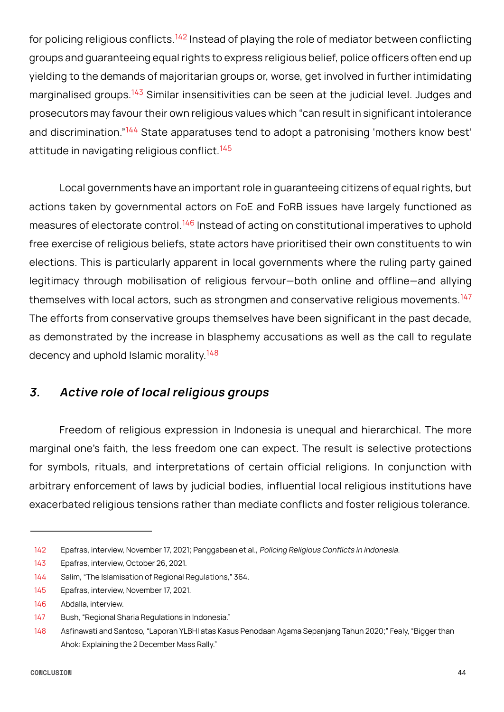<span id="page-43-0"></span>for policing religious conflicts.<sup>142</sup> Instead of playing the role of mediator between conflicting groups and guaranteeing equal rights to express religious belief, police officers often end up yielding to the demands of majoritarian groups or, worse, get involved in further intimidating marginalised groups.<sup>143</sup> Similar insensitivities can be seen at the judicial level. Judges and prosecutors may favour their own religious values which "can result in significant intolerance and discrimination."<sup>144</sup> State apparatuses tend to adopt a patronising 'mothers know best' attitude in navigating religious conflict.<sup>145</sup>

Local governments have an important role in guaranteeing citizens of equal rights, but actions taken by governmental actors on FoE and FoRB issues have largely functioned as measures of electorate control.<sup>146</sup> Instead of acting on constitutional imperatives to uphold free exercise of religious beliefs, state actors have prioritised their own constituents to win elections. This is particularly apparent in local governments where the ruling party gained legitimacy through mobilisation of religious fervour—both online and offline—and allying themselves with local actors, such as strongmen and conservative religious movements.<sup>147</sup> The efforts from conservative groups themselves have been significant in the past decade, as demonstrated by the increase in blasphemy accusations as well as the call to regulate decency and uphold Islamic morality.<sup>148</sup>

#### **3. Active role of local religious groups**

Freedom of religious expression in Indonesia is unequal and hierarchical. The more marginal one's faith, the less freedom one can expect. The result is selective protections for symbols, rituals, and interpretations of certain official religions. In conjunction with arbitrary enforcement of laws by judicial bodies, influential local religious institutions have exacerbated religious tensions rather than mediate conflicts and foster religious tolerance.

<sup>142</sup> Epafras, interview, November 17, 2021; Panggabean et al., Policing Religious Conflicts in Indonesia.

<sup>143</sup> Epafras, interview, October 26, 2021.

<sup>144</sup> Salim, "The Islamisation of Regional Regulations," 364.

<sup>145</sup> Epafras, interview, November 17, 2021.

<sup>146</sup> Abdalla, interview.

<sup>147</sup> Bush, "Regional Sharia Regulations in Indonesia."

<sup>148</sup> Asfinawati and Santoso, "Laporan YLBHI atas Kasus Penodaan Agama Sepanjang Tahun 2020;" Fealy, "Bigger than Ahok: Explaining the 2 December Mass Rally."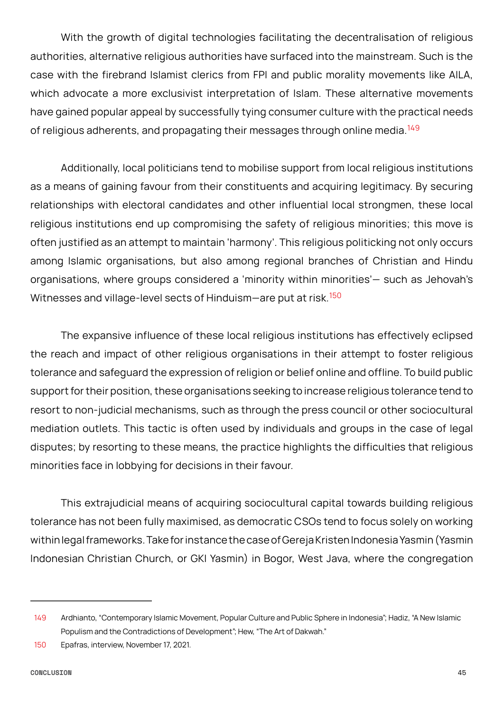With the growth of digital technologies facilitating the decentralisation of religious authorities, alternative religious authorities have surfaced into the mainstream. Such is the case with the firebrand Islamist clerics from FPI and public morality movements like AILA, which advocate a more exclusivist interpretation of Islam. These alternative movements have gained popular appeal by successfully tying consumer culture with the practical needs of religious adherents, and propagating their messages through online media.<sup>149</sup>

Additionally, local politicians tend to mobilise support from local religious institutions as a means of gaining favour from their constituents and acquiring legitimacy. By securing relationships with electoral candidates and other influential local strongmen, these local religious institutions end up compromising the safety of religious minorities; this move is often justified as an attempt to maintain 'harmony'. This religious politicking not only occurs among Islamic organisations, but also among regional branches of Christian and Hindu organisations, where groups considered a 'minority within minorities'— such as Jehovah's Witnesses and village-level sects of Hinduism-are put at risk.<sup>150</sup>

The expansive influence of these local religious institutions has effectively eclipsed the reach and impact of other religious organisations in their attempt to foster religious tolerance and safeguard the expression of religion or belief online and offline. To build public support for their position, these organisations seeking to increase religious tolerance tend to resort to non-judicial mechanisms, such as through the press council or other sociocultural mediation outlets. This tactic is often used by individuals and groups in the case of legal disputes; by resorting to these means, the practice highlights the difficulties that religious minorities face in lobbying for decisions in their favour.

This extrajudicial means of acquiring sociocultural capital towards building religious tolerance has not been fully maximised, as democratic CSOs tend to focus solely on working within legal frameworks. Take for instance the case of Gereja Kristen Indonesia Yasmin (Yasmin Indonesian Christian Church, or GKI Yasmin) in Bogor, West Java, where the congregation

<sup>149</sup> Ardhianto, "Contemporary Islamic Movement, Popular Culture and Public Sphere in Indonesia"; Hadiz, "A New Islamic Populism and the Contradictions of Development"; Hew, "The Art of Dakwah."

<sup>150</sup> Epafras, interview, November 17, 2021.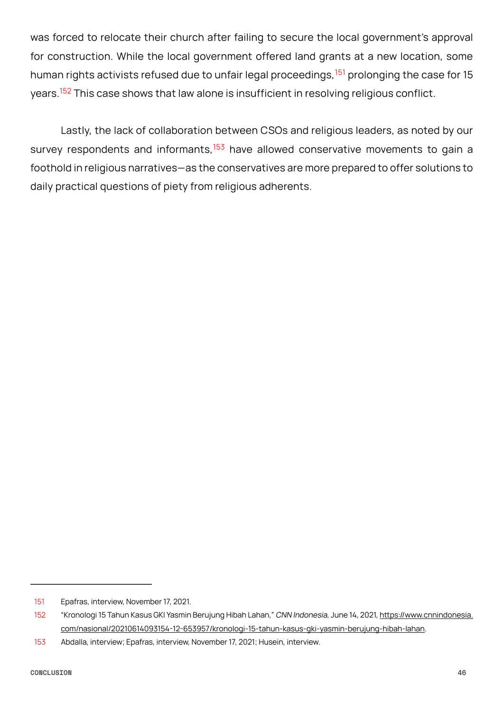was forced to relocate their church after failing to secure the local government's approval for construction. While the local government offered land grants at a new location, some human rights activists refused due to unfair legal proceedings, <sup>151</sup> prolonging the case for 15 years.<sup>152</sup> This case shows that law alone is insufficient in resolving religious conflict.

Lastly, the lack of collaboration between CSOs and religious leaders, as noted by our survey respondents and informants, $153$  have allowed conservative movements to gain a foothold in religious narratives—as the conservatives are more prepared to offer solutions to daily practical questions of piety from religious adherents.

<sup>151</sup> Epafras, interview, November 17, 2021.

<sup>152 &</sup>quot;Kronologi 15 Tahun Kasus GKI Yasmin Berujung Hibah Lahan," CNN Indonesia, June 14, 2021, [https://www.cnnindonesia.](https://www.cnnindonesia.com/nasional/20210614093154-12-653957/kronologi-15-tahun-kasus-gki-yasmin-berujung-hibah-lahan) [com/nasional/20210614093154-12-653957/kronologi-15-tahun-kasus-gki-yasmin-berujung-hibah-lahan](https://www.cnnindonesia.com/nasional/20210614093154-12-653957/kronologi-15-tahun-kasus-gki-yasmin-berujung-hibah-lahan).

<sup>153</sup> Abdalla, interview; Epafras, interview, November 17, 2021; Husein, interview.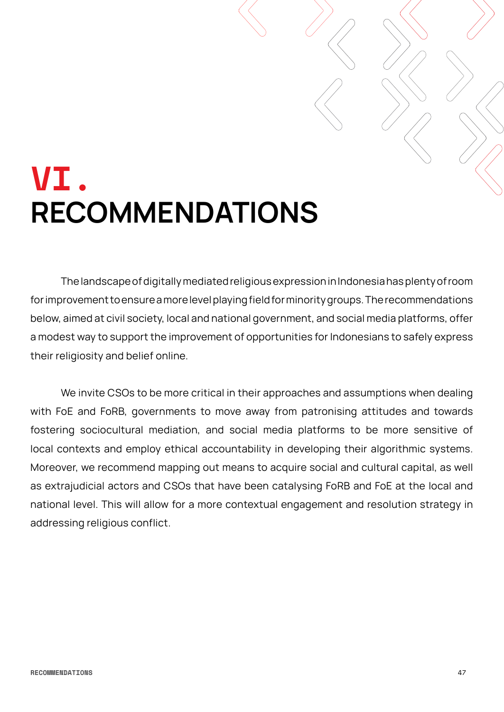### <span id="page-46-0"></span>**VI. RECOMMENDATIONS**

The landscape of digitally mediated religious expression in Indonesia has plenty of room for improvement to ensure a more level playing field for minority groups. The recommendations below, aimed at civil society, local and national government, and social media platforms, offer a modest way to support the improvement of opportunities for Indonesians to safely express their religiosity and belief online.

We invite CSOs to be more critical in their approaches and assumptions when dealing with FoE and FoRB, governments to move away from patronising attitudes and towards fostering sociocultural mediation, and social media platforms to be more sensitive of local contexts and employ ethical accountability in developing their algorithmic systems. Moreover, we recommend mapping out means to acquire social and cultural capital, as well as extrajudicial actors and CSOs that have been catalysing FoRB and FoE at the local and national level. This will allow for a more contextual engagement and resolution strategy in addressing religious conflict.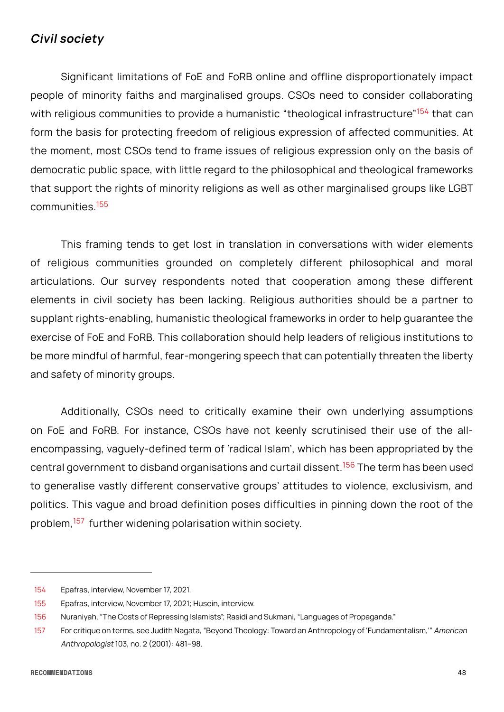#### <span id="page-47-0"></span>**Civil society**

Significant limitations of FoE and FoRB online and offline disproportionately impact people of minority faiths and marginalised groups. CSOs need to consider collaborating with religious communities to provide a humanistic "theological infrastructure"<sup>154</sup> that can form the basis for protecting freedom of religious expression of affected communities. At the moment, most CSOs tend to frame issues of religious expression only on the basis of democratic public space, with little regard to the philosophical and theological frameworks that support the rights of minority religions as well as other marginalised groups like LGBT communities.<sup>155</sup>

This framing tends to get lost in translation in conversations with wider elements of religious communities grounded on completely different philosophical and moral articulations. Our survey respondents noted that cooperation among these different elements in civil society has been lacking. Religious authorities should be a partner to supplant rights-enabling, humanistic theological frameworks in order to help guarantee the exercise of FoE and FoRB. This collaboration should help leaders of religious institutions to be more mindful of harmful, fear-mongering speech that can potentially threaten the liberty and safety of minority groups.

Additionally, CSOs need to critically examine their own underlying assumptions on FoE and FoRB. For instance, CSOs have not keenly scrutinised their use of the allencompassing, vaguely-defined term of 'radical Islam', which has been appropriated by the central government to disband organisations and curtail dissent.<sup>156</sup> The term has been used to generalise vastly different conservative groups' attitudes to violence, exclusivism, and politics. This vague and broad definition poses difficulties in pinning down the root of the problem,157 further widening polarisation within society.

<sup>154</sup> Epafras, interview, November 17, 2021.

<sup>155</sup> Epafras, interview, November 17, 2021; Husein, interview.

<sup>156</sup> Nuraniyah, "The Costs of Repressing Islamists"; Rasidi and Sukmani, "Languages of Propaganda."

<sup>157</sup> For critique on terms, see Judith Nagata, "Beyond Theology: Toward an Anthropology of 'Fundamentalism,'" American Anthropologist 103, no. 2 (2001): 481–98.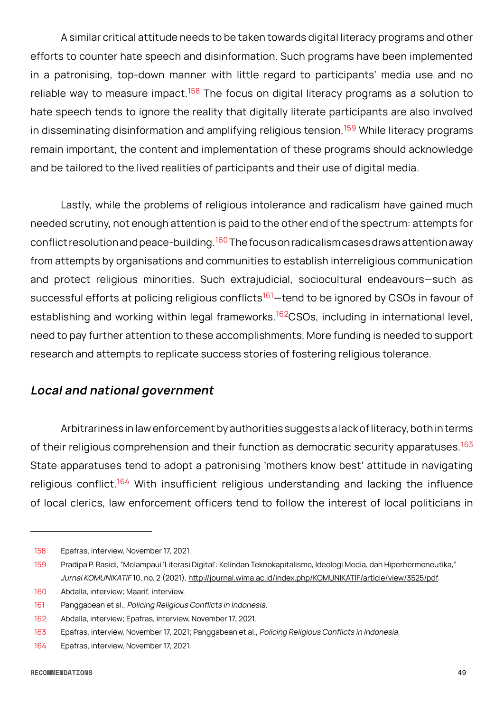<span id="page-48-0"></span>A similar critical attitude needs to be taken towards digital literacy programs and other efforts to counter hate speech and disinformation. Such programs have been implemented in a patronising, top-down manner with little regard to participants' media use and no reliable way to measure impact.<sup>158</sup> The focus on digital literacy programs as a solution to hate speech tends to ignore the reality that digitally literate participants are also involved in disseminating disinformation and amplifying religious tension.<sup>159</sup> While literacy programs remain important, the content and implementation of these programs should acknowledge and be tailored to the lived realities of participants and their use of digital media.

Lastly, while the problems of religious intolerance and radicalism have gained much needed scrutiny, not enough attention is paid to the other end of the spectrum: attempts for conflict resolution and peace-building.<sup>160</sup> The focus on radicalism cases draws attention away from attempts by organisations and communities to establish interreligious communication and protect religious minorities. Such extrajudicial, sociocultural endeavours—such as successful efforts at policing religious conflicts<sup>161</sup>—tend to be ignored by CSOs in favour of establishing and working within legal frameworks.<sup>162</sup>CSOs, including in international level, need to pay further attention to these accomplishments. More funding is needed to support research and attempts to replicate success stories of fostering religious tolerance.

#### **Local and national government**

Arbitrariness in law enforcement by authorities suggests a lack of literacy, both in terms of their religious comprehension and their function as democratic security apparatuses.<sup>163</sup> State apparatuses tend to adopt a patronising 'mothers know best' attitude in navigating religious conflict.<sup>164</sup> With insufficient religious understanding and lacking the influence of local clerics, law enforcement officers tend to follow the interest of local politicians in

<sup>158</sup> Epafras, interview, November 17, 2021.

<sup>159</sup> Pradipa P. Rasidi, "Melampaui 'Literasi Digital': Kelindan Teknokapitalisme, Ideologi Media, dan Hiperhermeneutika," Jurnal KOMUNIKATIF 10, no. 2 (2021), <http://journal.wima.ac.id/index.php/KOMUNIKATIF/article/view/3525/pdf>.

<sup>160</sup> Abdalla, interview; Maarif, interview.

<sup>161</sup> Panggabean et al., Policing Religious Conflicts in Indonesia.

<sup>162</sup> Abdalla, interview; Epafras, interview, November 17, 2021.

<sup>163</sup> Epafras, interview, November 17, 2021; Panggabean et al., Policing Religious Conflicts in Indonesia.

<sup>164</sup> Epafras, interview, November 17, 2021.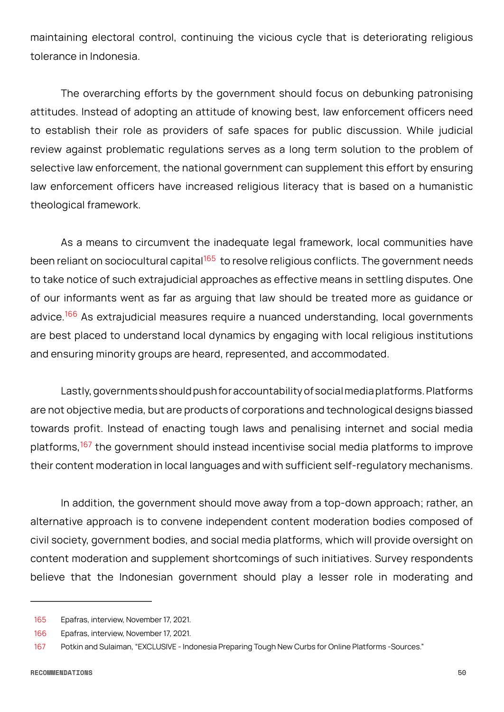maintaining electoral control, continuing the vicious cycle that is deteriorating religious tolerance in Indonesia.

The overarching efforts by the government should focus on debunking patronising attitudes. Instead of adopting an attitude of knowing best, law enforcement officers need to establish their role as providers of safe spaces for public discussion. While judicial review against problematic regulations serves as a long term solution to the problem of selective law enforcement, the national government can supplement this effort by ensuring law enforcement officers have increased religious literacy that is based on a humanistic theological framework.

As a means to circumvent the inadequate legal framework, local communities have been reliant on sociocultural capital<sup>165</sup> to resolve religious conflicts. The government needs to take notice of such extrajudicial approaches as effective means in settling disputes. One of our informants went as far as arguing that law should be treated more as guidance or advice.<sup>166</sup> As extrajudicial measures require a nuanced understanding, local governments are best placed to understand local dynamics by engaging with local religious institutions and ensuring minority groups are heard, represented, and accommodated.

Lastly, governments should push for accountability of social media platforms. Platforms are not objective media, but are products of corporations and technological designs biassed towards profit. Instead of enacting tough laws and penalising internet and social media platforms,<sup>167</sup> the government should instead incentivise social media platforms to improve their content moderation in local languages and with sufficient self-regulatory mechanisms.

In addition, the government should move away from a top-down approach; rather, an alternative approach is to convene independent content moderation bodies composed of civil society, government bodies, and social media platforms, which will provide oversight on content moderation and supplement shortcomings of such initiatives. Survey respondents believe that the Indonesian government should play a lesser role in moderating and

<sup>165</sup> Epafras, interview, November 17, 2021.

<sup>166</sup> Epafras, interview, November 17, 2021.

<sup>167</sup> Potkin and Sulaiman, "EXCLUSIVE - Indonesia Preparing Tough New Curbs for Online Platforms -Sources."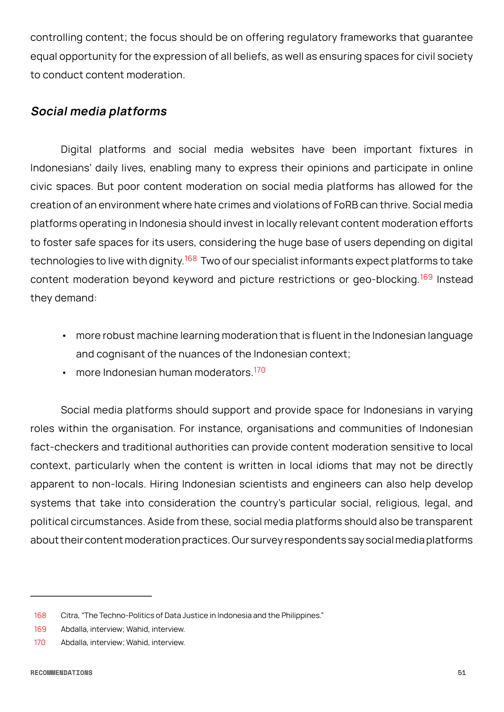<span id="page-50-0"></span>controlling content; the focus should be on offering regulatory frameworks that guarantee equal opportunity for the expression of all beliefs, as well as ensuring spaces for civil society to conduct content moderation.

#### **Social media platforms**

Digital platforms and social media websites have been important fixtures in Indonesians' daily lives, enabling many to express their opinions and participate in online civic spaces. But poor content moderation on social media platforms has allowed for the creation of an environment where hate crimes and violations of FoRB can thrive. Social media platforms operating in Indonesia should invest in locally relevant content moderation efforts to foster safe spaces for its users, considering the huge base of users depending on digital technologies to live with dignity.<sup>168</sup> Two of our specialist informants expect platforms to take content moderation beyond keyword and picture restrictions or geo-blocking.<sup>169</sup> Instead they demand:

- more robust machine learning moderation that is fluent in the Indonesian language and cognisant of the nuances of the Indonesian context;
- more Indonesian human moderators <sup>170</sup>

Social media platforms should support and provide space for Indonesians in varying roles within the organisation. For instance, organisations and communities of Indonesian fact-checkers and traditional authorities can provide content moderation sensitive to local context, particularly when the content is written in local idioms that may not be directly apparent to non-locals. Hiring Indonesian scientists and engineers can also help develop systems that take into consideration the country's particular social, religious, legal, and political circumstances. Aside from these, social media platforms should also be transparent about their content moderation practices. Our survey respondents say social media platforms

<sup>168</sup> Citra, "The Techno-Politics of Data Justice in Indonesia and the Philippines."

<sup>169</sup> Abdalla, interview; Wahid, interview.

<sup>170</sup> Abdalla, interview; Wahid, interview.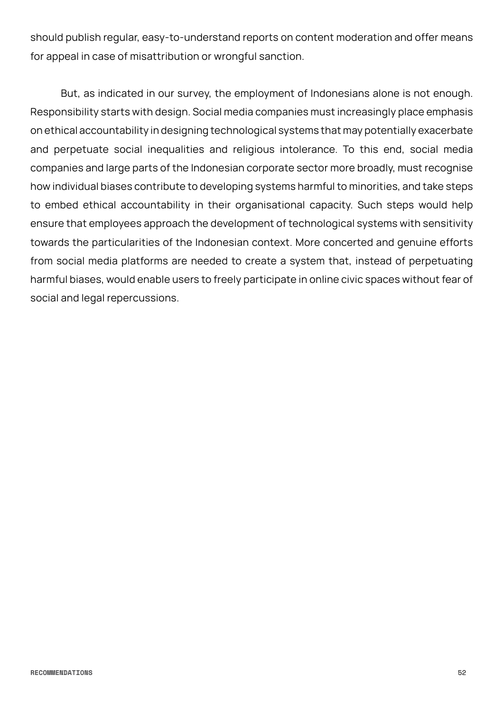should publish regular, easy-to-understand reports on content moderation and offer means for appeal in case of misattribution or wrongful sanction.

But, as indicated in our survey, the employment of Indonesians alone is not enough. Responsibility starts with design. Social media companies must increasingly place emphasis on ethical accountability in designing technological systems that may potentially exacerbate and perpetuate social inequalities and religious intolerance. To this end, social media companies and large parts of the Indonesian corporate sector more broadly, must recognise how individual biases contribute to developing systems harmful to minorities, and take steps to embed ethical accountability in their organisational capacity. Such steps would help ensure that employees approach the development of technological systems with sensitivity towards the particularities of the Indonesian context. More concerted and genuine efforts from social media platforms are needed to create a system that, instead of perpetuating harmful biases, would enable users to freely participate in online civic spaces without fear of social and legal repercussions.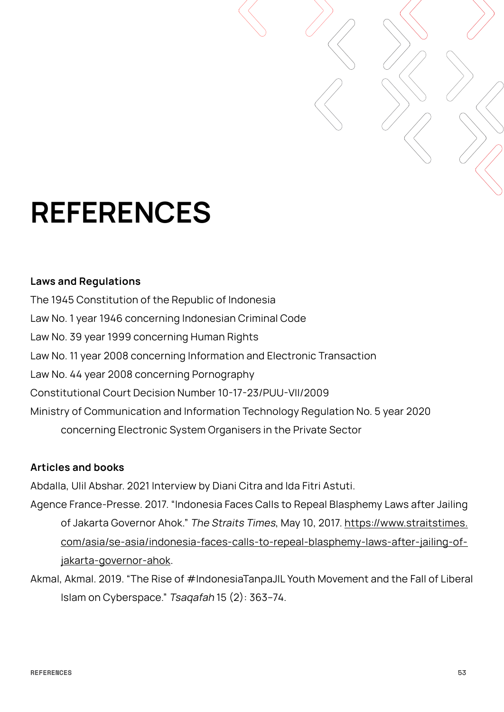### <span id="page-52-0"></span>**REFERENCES**

#### **Laws and Regulations**

The 1945 Constitution of the Republic of Indonesia Law No. 1 year 1946 concerning Indonesian Criminal Code Law No. 39 year 1999 concerning Human Rights Law No. 11 year 2008 concerning Information and Electronic Transaction Law No. 44 year 2008 concerning Pornography Constitutional Court Decision Number 10-17-23/PUU-VII/2009 Ministry of Communication and Information Technology Regulation No. 5 year 2020 concerning Electronic System Organisers in the Private Sector

#### **Articles and books**

Abdalla, Ulil Abshar. 2021 Interview by Diani Citra and Ida Fitri Astuti.

- Agence France-Presse. 2017. "Indonesia Faces Calls to Repeal Blasphemy Laws after Jailing of Jakarta Governor Ahok." The Straits Times, May 10, 2017. [https://www.straitstimes.](https://www.straitstimes.com/asia/se-asia/indonesia-faces-calls-to-repeal-blasphemy-laws-after-jailing-of-jakarta-governor-ahok) [com/asia/se-asia/indonesia-faces-calls-to-repeal-blasphemy-laws-after-jailing-of](https://www.straitstimes.com/asia/se-asia/indonesia-faces-calls-to-repeal-blasphemy-laws-after-jailing-of-jakarta-governor-ahok)[jakarta-governor-ahok.](https://www.straitstimes.com/asia/se-asia/indonesia-faces-calls-to-repeal-blasphemy-laws-after-jailing-of-jakarta-governor-ahok)
- Akmal, Akmal. 2019. "The Rise of #IndonesiaTanpaJIL Youth Movement and the Fall of Liberal Islam on Cyberspace." Tsaqafah 15 (2): 363–74.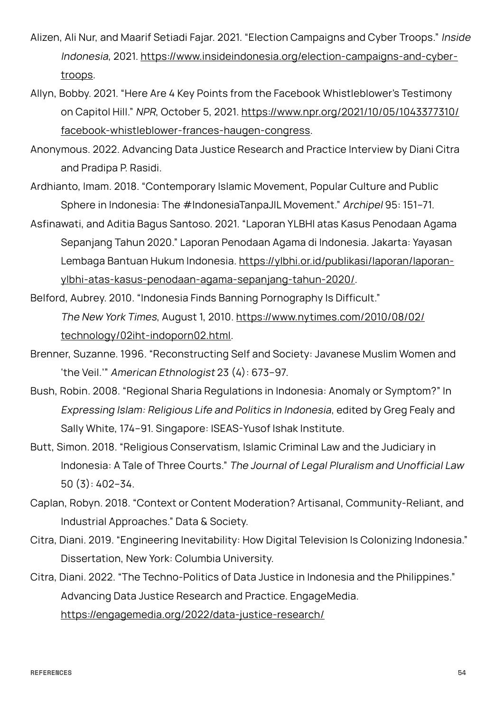- Alizen, Ali Nur, and Maarif Setiadi Fajar. 2021. "Election Campaigns and Cyber Troops." Inside Indonesia, 2021. [https://www.insideindonesia.org/election-campaigns-and-cyber](https://www.insideindonesia.org/election-campaigns-and-cyber-troops)[troops.](https://www.insideindonesia.org/election-campaigns-and-cyber-troops)
- Allyn, Bobby. 2021. "Here Are 4 Key Points from the Facebook Whistleblower's Testimony on Capitol Hill." NPR, October 5, 2021. [https://www.npr.org/2021/10/05/1043377310/](https://www.npr.org/2021/10/05/1043377310/facebook-whistleblower-frances-haugen-congress) [facebook-whistleblower-frances-haugen-congress.](https://www.npr.org/2021/10/05/1043377310/facebook-whistleblower-frances-haugen-congress)
- Anonymous. 2022. Advancing Data Justice Research and Practice Interview by Diani Citra and Pradipa P. Rasidi.
- Ardhianto, Imam. 2018. "Contemporary Islamic Movement, Popular Culture and Public Sphere in Indonesia: The #IndonesiaTanpaJIL Movement." Archipel 95: 151–71.
- Asfinawati, and Aditia Bagus Santoso. 2021. "Laporan YLBHI atas Kasus Penodaan Agama Sepanjang Tahun 2020." Laporan Penodaan Agama di Indonesia. Jakarta: Yayasan Lembaga Bantuan Hukum Indonesia. [https://ylbhi.or.id/publikasi/laporan/laporan](https://ylbhi.or.id/publikasi/laporan/laporan-ylbhi-atas-kasus-penodaan-agama-sepanjang-tahun-2020/)[ylbhi-atas-kasus-penodaan-agama-sepanjang-tahun-2020/.](https://ylbhi.or.id/publikasi/laporan/laporan-ylbhi-atas-kasus-penodaan-agama-sepanjang-tahun-2020/)
- Belford, Aubrey. 2010. "Indonesia Finds Banning Pornography Is Difficult." The New York Times, August 1, 2010. [https://www.nytimes.com/2010/08/02/](https://www.nytimes.com/2010/08/02/technology/02iht-indoporn02.html)  [technology/02iht-indoporn02.html.](https://www.nytimes.com/2010/08/02/technology/02iht-indoporn02.html)
- Brenner, Suzanne. 1996. "Reconstructing Self and Society: Javanese Muslim Women and 'the Veil.'" American Ethnologist 23 (4): 673–97.
- Bush, Robin. 2008. "Regional Sharia Regulations in Indonesia: Anomaly or Symptom?" In Expressing Islam: Religious Life and Politics in Indonesia, edited by Greg Fealy and Sally White, 174–91. Singapore: ISEAS-Yusof Ishak Institute.
- Butt, Simon. 2018. "Religious Conservatism, Islamic Criminal Law and the Judiciary in Indonesia: A Tale of Three Courts." The Journal of Legal Pluralism and Unofficial Law 50 (3): 402–34.
- Caplan, Robyn. 2018. "Context or Content Moderation? Artisanal, Community-Reliant, and Industrial Approaches." Data & Society.
- Citra, Diani. 2019. "Engineering Inevitability: How Digital Television Is Colonizing Indonesia." Dissertation, New York: Columbia University.
- Citra, Diani. 2022. "The Techno-Politics of Data Justice in Indonesia and the Philippines." Advancing Data Justice Research and Practice. EngageMedia. <https://engagemedia.org/2022/data-justice-research/>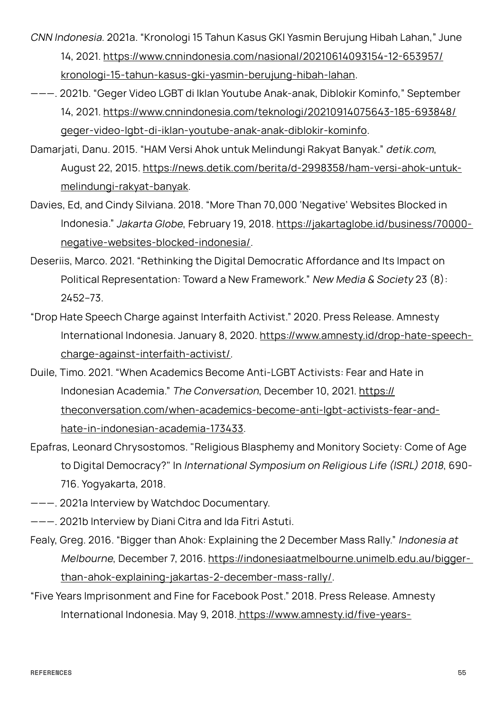- CNN Indonesia. 2021a. "Kronologi 15 Tahun Kasus GKI Yasmin Berujung Hibah Lahan," June 14, 2021. [https://www.cnnindonesia.com/nasional/20210614093154-12-653957/](https://www.cnnindonesia.com/nasional/20210614093154-12-653957/kronologi-15-tahun-kasus-gki-yasmin-berujung-hibah-lahan) [kronologi-15-tahun-kasus-gki-yasmin-berujung-hibah-lahan.](https://www.cnnindonesia.com/nasional/20210614093154-12-653957/kronologi-15-tahun-kasus-gki-yasmin-berujung-hibah-lahan)
- ———. 2021b. "Geger Video LGBT di Iklan Youtube Anak-anak, Diblokir Kominfo," September 14, 2021. [https://www.cnnindonesia.com/teknologi/20210914075643-185-693848/](https://www.cnnindonesia.com/teknologi/20210914075643-185-693848/geger-video-lgbt-di-iklan-youtube-anak-anak-diblokir-kominfo) [geger-video-lgbt-di-iklan-youtube-anak-anak-diblokir-kominfo.](https://www.cnnindonesia.com/teknologi/20210914075643-185-693848/geger-video-lgbt-di-iklan-youtube-anak-anak-diblokir-kominfo)
- Damarjati, Danu. 2015. "HAM Versi Ahok untuk Melindungi Rakyat Banyak." detik.com, August 22, 2015. [https://news.detik.com/berita/d-2998358/ham-versi-ahok-untuk](https://news.detik.com/berita/d-2998358/ham-versi-ahok-untuk-melindungi-rakyat-banyak)[melindungi-rakyat-banyak.](https://news.detik.com/berita/d-2998358/ham-versi-ahok-untuk-melindungi-rakyat-banyak)
- Davies, Ed, and Cindy Silviana. 2018. "More Than 70,000 'Negative' Websites Blocked in Indonesia." Jakarta Globe, February 19, 2018. [https://jakartaglobe.id/business/70000](https://jakartaglobe.id/business/70000-negative-websites-blocked-indonesia/)  [negative-websites-blocked-indonesia/](https://jakartaglobe.id/business/70000-negative-websites-blocked-indonesia/).
- Deseriis, Marco. 2021. "Rethinking the Digital Democratic Affordance and Its Impact on Political Representation: Toward a New Framework." New Media & Society 23 (8): 2452–73.
- "Drop Hate Speech Charge against Interfaith Activist." 2020. Press Release. Amnesty International Indonesia. January 8, 2020. [https://www.amnesty.id/drop-hate-speech](https://www.amnesty.id/drop-hate-speech-charge-against-interfaith-activist/)[charge-against-interfaith-activist/.](https://www.amnesty.id/drop-hate-speech-charge-against-interfaith-activist/)
- Duile, Timo. 2021. "When Academics Become Anti-LGBT Activists: Fear and Hate in Indonesian Academia." The Conversation, December 10, 2021. [https://](https://theconversation.com/when-academics-become-anti-lgbt-activists-fear-and-hate-in-indonesian-academia-173433)  [theconversation.com/when-academics-become-anti-lgbt-activists-fear-and](https://theconversation.com/when-academics-become-anti-lgbt-activists-fear-and-hate-in-indonesian-academia-173433)[hate-in-indonesian-academia-173433](https://theconversation.com/when-academics-become-anti-lgbt-activists-fear-and-hate-in-indonesian-academia-173433).
- Epafras, Leonard Chrysostomos. "Religious Blasphemy and Monitory Society: Come of Age to Digital Democracy?" In International Symposium on Religious Life (ISRL) <sup>2018</sup>, 690- 716. Yogyakarta, 2018.
- ———. 2021a Interview by Watchdoc Documentary.
- ———. 2021b Interview by Diani Citra and Ida Fitri Astuti.
- Fealy, Greg. 2016. "Bigger than Ahok: Explaining the 2 December Mass Rally." Indonesia at Melbourne, December 7, 2016. [https://indonesiaatmelbourne.unimelb.edu.au/bigger](https://indonesiaatmelbourne.unimelb.edu.au/bigger-than-ahok-explaining-jakartas-2-december-mass-rally/)[than-ahok-explaining-jakartas-2-december-mass-rally/.](https://indonesiaatmelbourne.unimelb.edu.au/bigger-than-ahok-explaining-jakartas-2-december-mass-rally/)
- "Five Years Imprisonment and Fine for Facebook Post." 2018. Press Release. Amnesty International Indonesia. May 9, 2018[. https://www.amnesty.id/five-years-](https://www.amnesty.id/five-years-imprisonment-fine-facebook-post/)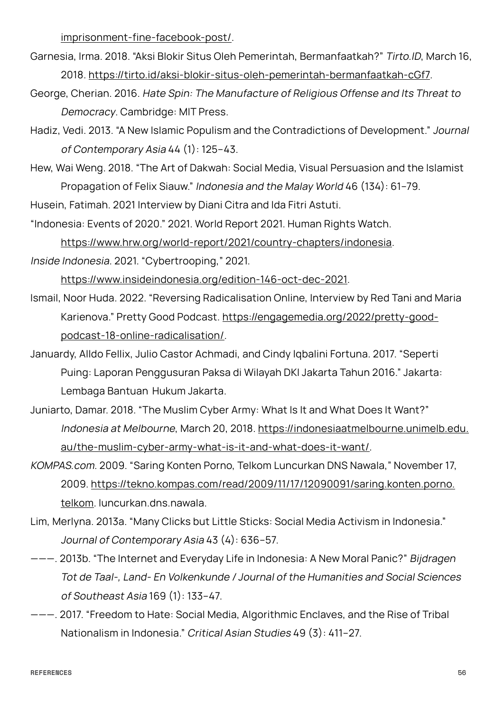[imprisonment-fine-facebook-post/.](https://www.amnesty.id/five-years-imprisonment-fine-facebook-post/)

- Garnesia, Irma. 2018. "Aksi Blokir Situs Oleh Pemerintah, Bermanfaatkah?" Tirto.ID, March 16, 2018. <https://tirto.id/aksi-blokir-situs-oleh-pemerintah-bermanfaatkah-cGf7>.
- George, Cherian. 2016. Hate Spin: The Manufacture of Religious Offense and Its Threat to Democracy. Cambridge: MIT Press.
- Hadiz, Vedi. 2013. "A New Islamic Populism and the Contradictions of Development." Journal of Contemporary Asia 44 (1): 125–43.
- Hew, Wai Weng. 2018. "The Art of Dakwah: Social Media, Visual Persuasion and the Islamist Propagation of Felix Siauw." Indonesia and the Malay World 46 (134): 61–79.

Husein, Fatimah. 2021 Interview by Diani Citra and Ida Fitri Astuti.

"Indonesia: Events of 2020." 2021. World Report 2021. Human Rights Watch.

[https://www.hrw.org/world-report/2021/country-chapters/indonesia.](https://www.hrw.org/world-report/2021/country-chapters/indonesia)

Inside Indonesia. 2021. "Cybertrooping," 2021.

[https://www.insideindonesia.org/edition-146-oct-dec-2021.](https://www.insideindonesia.org/edition-146-oct-dec-2021)

- Ismail, Noor Huda. 2022. "Reversing Radicalisation Online, Interview by Red Tani and Maria Karienova." Pretty Good Podcast. [https://engagemedia.org/2022/pretty-good](https://engagemedia.org/2022/pretty-good-podcast-18-online-radicalisation/)[podcast-18-online-radicalisation/](https://engagemedia.org/2022/pretty-good-podcast-18-online-radicalisation/).
- Januardy, Alldo Fellix, Julio Castor Achmadi, and Cindy Iqbalini Fortuna. 2017. "Seperti Puing: Laporan Penggusuran Paksa di Wilayah DKI Jakarta Tahun 2016." Jakarta: Lembaga Bantuan Hukum Jakarta.
- Juniarto, Damar. 2018. "The Muslim Cyber Army: What Is It and What Does It Want?" Indonesia at Melbourne, March 20, 2018. [https://indonesiaatmelbourne.unimelb.edu.](https://indonesiaatmelbourne.unimelb.edu.au/the-muslim-cyber-army-what-is-it-and-what-does-it-want/) [au/the-muslim-cyber-army-what-is-it-and-what-does-it-want/.](https://indonesiaatmelbourne.unimelb.edu.au/the-muslim-cyber-army-what-is-it-and-what-does-it-want/)
- KOMPAS.com. 2009. "Saring Konten Porno, Telkom Luncurkan DNS Nawala," November 17, 2009. [https://tekno.kompas.com/read/2009/11/17/12090091/saring.konten.porno.](https://tekno.kompas.com/read/2009/11/17/12090091/saring.konten.porno.telkom.luncurkan.dns.nawala) [telkom.](https://tekno.kompas.com/read/2009/11/17/12090091/saring.konten.porno.telkom.luncurkan.dns.nawala) luncurkan.dns.nawala.
- Lim, Merlyna. 2013a. "Many Clicks but Little Sticks: Social Media Activism in Indonesia." Journal of Contemporary Asia 43 (4): 636–57.
- ———. 2013b. "The Internet and Everyday Life in Indonesia: A New Moral Panic?" Bijdragen Tot de Taal-, Land- En Volkenkunde / Journal of the Humanities and Social Sciences of Southeast Asia 169 (1): 133–47.
- ———. 2017. "Freedom to Hate: Social Media, Algorithmic Enclaves, and the Rise of Tribal Nationalism in Indonesia." Critical Asian Studies 49 (3): 411–27.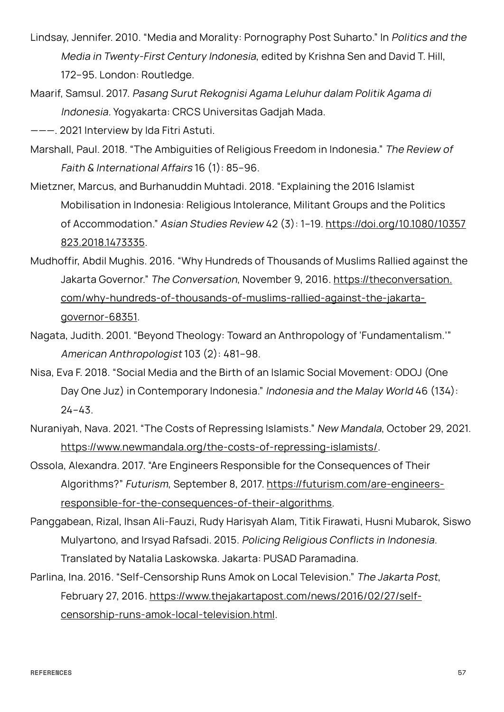- Lindsay, Jennifer. 2010. "Media and Morality: Pornography Post Suharto." In Politics and the Media in Twenty-First Century Indonesia, edited by Krishna Sen and David T. Hill, 172–95. London: Routledge.
- Maarif, Samsul. 2017. Pasang Surut Rekognisi Agama Leluhur dalam Politik Agama di Indonesia. Yogyakarta: CRCS Universitas Gadjah Mada.

———. 2021 Interview by Ida Fitri Astuti.

- Marshall, Paul. 2018. "The Ambiguities of Religious Freedom in Indonesia." The Review of Faith & International Affairs 16 (1): 85–96.
- Mietzner, Marcus, and Burhanuddin Muhtadi. 2018. "Explaining the 2016 Islamist Mobilisation in Indonesia: Religious Intolerance, Militant Groups and the Politics of Accommodation." Asian Studies Review 42 (3): 1–19. [https://doi.org/10.1080/10357](https://doi.org/10.1080/10357823.2018.1473335) [823.2018.1473335](https://doi.org/10.1080/10357823.2018.1473335).
- Mudhoffir, Abdil Mughis. 2016. "Why Hundreds of Thousands of Muslims Rallied against the Jakarta Governor." The Conversation, November 9, 2016. [https://theconversation.](https://theconversation.com/why-hundreds-of-thousands-of-muslims-rallied-against-the-jakarta-governor-68351)  [com/why-hundreds-of-thousands-of-muslims-rallied-against-the-jakarta](https://theconversation.com/why-hundreds-of-thousands-of-muslims-rallied-against-the-jakarta-governor-68351)[governor-68351](https://theconversation.com/why-hundreds-of-thousands-of-muslims-rallied-against-the-jakarta-governor-68351).
- Nagata, Judith. 2001. "Beyond Theology: Toward an Anthropology of 'Fundamentalism.'" American Anthropologist 103 (2): 481–98.
- Nisa, Eva F. 2018. "Social Media and the Birth of an Islamic Social Movement: ODOJ (One Day One Juz) in Contemporary Indonesia." Indonesia and the Malay World 46 (134): 24–43.
- Nuraniyah, Nava. 2021. "The Costs of Repressing Islamists." New Mandala, October 29, 2021. [https://www.newmandala.org/the-costs-of-repressing-islamists/.](https://www.newmandala.org/the-costs-of-repressing-islamists/)
- Ossola, Alexandra. 2017. "Are Engineers Responsible for the Consequences of Their Algorithms?" Futurism, September 8, 2017. [https://futurism.com/are-engineers](https://futurism.com/are-engineers-responsible-for-the-consequences-of-their-algorithms)[responsible-for-the-consequences-of-their-algorithms.](https://futurism.com/are-engineers-responsible-for-the-consequences-of-their-algorithms)
- Panggabean, Rizal, Ihsan Ali-Fauzi, Rudy Harisyah Alam, Titik Firawati, Husni Mubarok, Siswo Mulyartono, and Irsyad Rafsadi. 2015. Policing Religious Conflicts in Indonesia. Translated by Natalia Laskowska. Jakarta: PUSAD Paramadina.
- Parlina, Ina. 2016. "Self-Censorship Runs Amok on Local Television." The Jakarta Post, February 27, 2016. [https://www.thejakartapost.com/news/2016/02/27/self](https://www.thejakartapost.com/news/2016/02/27/self-censorship-runs-amok-local-television.html)[censorship-runs-amok-local-television.html](https://www.thejakartapost.com/news/2016/02/27/self-censorship-runs-amok-local-television.html).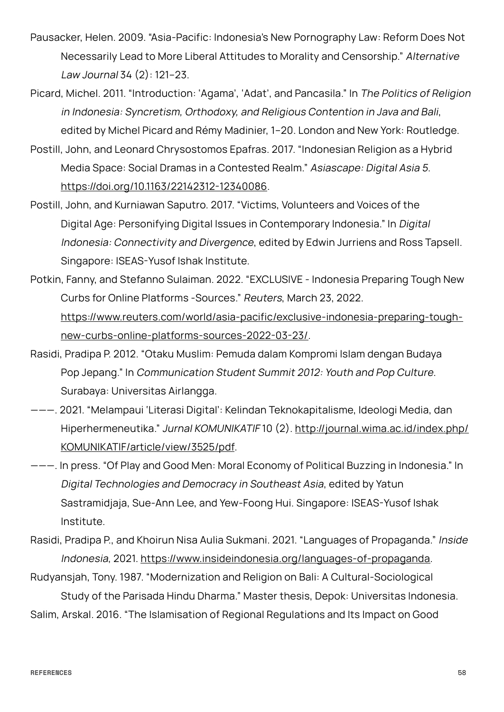- Pausacker, Helen. 2009. "Asia-Pacific: Indonesia's New Pornography Law: Reform Does Not Necessarily Lead to More Liberal Attitudes to Morality and Censorship." Alternative Law Journal 34 (2): 121–23.
- Picard, Michel. 2011. "Introduction: 'Agama', 'Adat', and Pancasila." In The Politics of Religion in Indonesia: Syncretism, Orthodoxy, and Religious Contention in Java and Bali, edited by Michel Picard and Rémy Madinier, 1–20. London and New York: Routledge.
- Postill, John, and Leonard Chrysostomos Epafras. 2017. "Indonesian Religion as a Hybrid Media Space: Social Dramas in a Contested Realm." Asiascape: Digital Asia 5. <https://doi.org/10.1163/22142312-12340086>.
- Postill, John, and Kurniawan Saputro. 2017. "Victims, Volunteers and Voices of the Digital Age: Personifying Digital Issues in Contemporary Indonesia." In Digital Indonesia: Connectivity and Divergence, edited by Edwin Jurriens and Ross Tapsell. Singapore: ISEAS-Yusof Ishak Institute.
- Potkin, Fanny, and Stefanno Sulaiman. 2022. "EXCLUSIVE Indonesia Preparing Tough New Curbs for Online Platforms -Sources." Reuters, March 23, 2022. [https://www.reuters.com/world/asia-pacific/exclusive-indonesia-preparing-tough](https://www.reuters.com/world/asia-pacific/exclusive-indonesia-preparing-tough-new-curbs-online-platforms-sources-2022-03-23/)[new-curbs-online-platforms-sources-2022-03-23/](https://www.reuters.com/world/asia-pacific/exclusive-indonesia-preparing-tough-new-curbs-online-platforms-sources-2022-03-23/).
- Rasidi, Pradipa P. 2012. "Otaku Muslim: Pemuda dalam Kompromi Islam dengan Budaya Pop Jepang." In Communication Student Summit 2012: Youth and Pop Culture. Surabaya: Universitas Airlangga.
- ———. 2021. "Melampaui 'Literasi Digital': Kelindan Teknokapitalisme, Ideologi Media, dan Hiperhermeneutika." Jurnal KOMUNIKATIF 10 (2). [http://journal.wima.ac.id/index.php/](http://journal.wima.ac.id/index.php/KOMUNIKATIF/article/view/3525/pdf) [KOMUNIKATIF/article/view/3525/pdf](http://journal.wima.ac.id/index.php/KOMUNIKATIF/article/view/3525/pdf).
- ———. In press. "Of Play and Good Men: Moral Economy of Political Buzzing in Indonesia." In Digital Technologies and Democracy in Southeast Asia, edited by Yatun Sastramidjaja, Sue-Ann Lee, and Yew-Foong Hui. Singapore: ISEAS-Yusof Ishak Institute.
- Rasidi, Pradipa P., and Khoirun Nisa Aulia Sukmani. 2021. "Languages of Propaganda." Inside Indonesia, 2021. [https://www.insideindonesia.org/languages-of-propaganda.](https://www.insideindonesia.org/languages-of-propaganda)
- Rudyansjah, Tony. 1987. "Modernization and Religion on Bali: A Cultural-Sociological Study of the Parisada Hindu Dharma." Master thesis, Depok: Universitas Indonesia.

Salim, Arskal. 2016. "The Islamisation of Regional Regulations and Its Impact on Good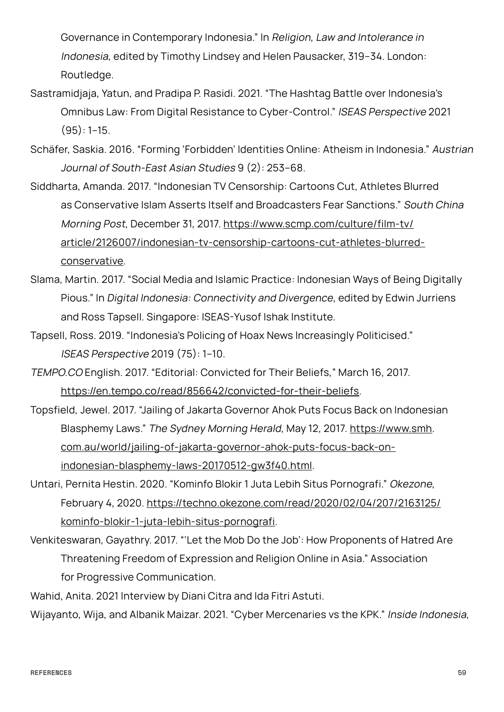Governance in Contemporary Indonesia." In Religion, Law and Intolerance in Indonesia, edited by Timothy Lindsey and Helen Pausacker, 319–34. London: Routledge.

- Sastramidjaja, Yatun, and Pradipa P. Rasidi. 2021. "The Hashtag Battle over Indonesia's Omnibus Law: From Digital Resistance to Cyber-Control." ISEAS Perspective 2021  $(95): 1-15.$
- Schäfer, Saskia. 2016. "Forming 'Forbidden' Identities Online: Atheism in Indonesia." Austrian Journal of South-East Asian Studies 9 (2): 253–68.
- Siddharta, Amanda. 2017. "Indonesian TV Censorship: Cartoons Cut, Athletes Blurred as Conservative Islam Asserts Itself and Broadcasters Fear Sanctions." South China Morning Post, December 31, 2017. [https://www.scmp.com/culture/film-tv/](https://www.scmp.com/culture/film-tv/article/2126007/indonesian-tv-censorship-cartoons-cut-athletes-blurred-conservative)  [article/2126007/indonesian-tv-censorship-cartoons-cut-athletes-blurred](https://www.scmp.com/culture/film-tv/article/2126007/indonesian-tv-censorship-cartoons-cut-athletes-blurred-conservative)[conservative.](https://www.scmp.com/culture/film-tv/article/2126007/indonesian-tv-censorship-cartoons-cut-athletes-blurred-conservative)
- Slama, Martin. 2017. "Social Media and Islamic Practice: Indonesian Ways of Being Digitally Pious." In Digital Indonesia: Connectivity and Divergence, edited by Edwin Jurriens and Ross Tapsell. Singapore: ISEAS-Yusof Ishak Institute.
- Tapsell, Ross. 2019. "Indonesia's Policing of Hoax News Increasingly Politicised." ISEAS Perspective 2019 (75): 1–10.
- TEMPO.CO English. 2017. "Editorial: Convicted for Their Beliefs," March 16, 2017. [https://en.tempo.co/read/856642/convicted-for-their-beliefs.](https://en.tempo.co/read/856642/convicted-for-their-beliefs)
- Topsfield, Jewel. 2017. "Jailing of Jakarta Governor Ahok Puts Focus Back on Indonesian Blasphemy Laws." The Sydney Morning Herald, May 12, 2017. https://www.smh. [com.au/world/jailing-of-jakarta-governor-ahok-puts-focus-back-on](https://www.smh.com.au/world/jailing-of-jakarta-governor-ahok-puts-focus-back-on-indonesian-blasphemy-laws-20170512-gw3f40.html)[indonesian-blasphemy-laws-20170512-gw3f40.html](https://www.smh.com.au/world/jailing-of-jakarta-governor-ahok-puts-focus-back-on-indonesian-blasphemy-laws-20170512-gw3f40.html).
- Untari, Pernita Hestin. 2020. "Kominfo Blokir 1 Juta Lebih Situs Pornografi." Okezone, February 4, 2020. [https://techno.okezone.com/read/2020/02/04/207/2163125/](https://techno.okezone.com/read/2020/02/04/207/2163125/kominfo-blokir-1-juta-lebih-situs-pornografi) [kominfo-blokir-1-juta-lebih-situs-pornografi](https://techno.okezone.com/read/2020/02/04/207/2163125/kominfo-blokir-1-juta-lebih-situs-pornografi).
- Venkiteswaran, Gayathry. 2017. "'Let the Mob Do the Job': How Proponents of Hatred Are Threatening Freedom of Expression and Religion Online in Asia." Association for Progressive Communication.

Wahid, Anita. 2021 Interview by Diani Citra and Ida Fitri Astuti.

Wijayanto, Wija, and Albanik Maizar. 2021. "Cyber Mercenaries vs the KPK." Inside Indonesia,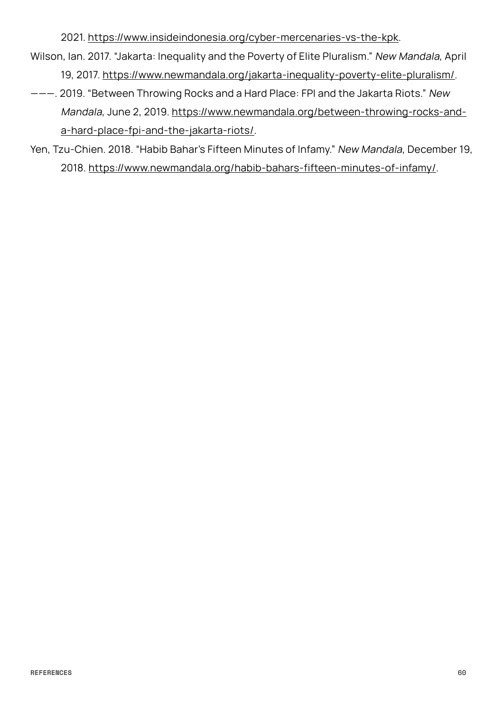2021. <https://www.insideindonesia.org/cyber-mercenaries-vs-the-kpk>.

- Wilson, Ian. 2017. "Jakarta: Inequality and the Poverty of Elite Pluralism." New Mandala, April 19, 2017. [https://www.newmandala.org/jakarta-inequality-poverty-elite-pluralism/.](https://www.newmandala.org/jakarta-inequality-poverty-elite-pluralism/)
- ———. 2019. "Between Throwing Rocks and a Hard Place: FPI and the Jakarta Riots." New Mandala, June 2, 2019. [https://www.newmandala.org/between-throwing-rocks-and](https://www.newmandala.org/between-throwing-rocks-and-a-hard-place-fpi-and-the-jakarta-riots/)[a-hard-place-fpi-and-the-jakarta-riots/.](https://www.newmandala.org/between-throwing-rocks-and-a-hard-place-fpi-and-the-jakarta-riots/)
- Yen, Tzu-Chien. 2018. "Habib Bahar's Fifteen Minutes of Infamy." New Mandala, December 19, 2018. [https://www.newmandala.org/habib-bahars-fifteen-minutes-of-infamy/.](https://www.newmandala.org/habib-bahars-fifteen-minutes-of-infamy/)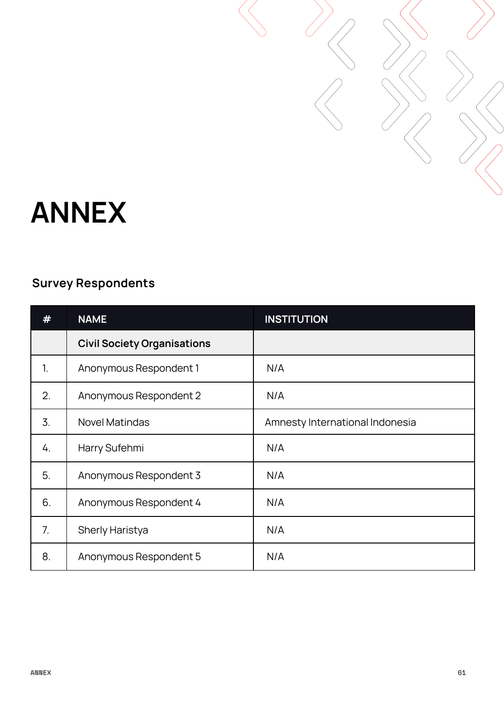

### <span id="page-60-0"></span>**ANNEX**

### **Survey Respondents**

|    | <b>NAME</b>                        | <b>INSTITUTION</b>              |
|----|------------------------------------|---------------------------------|
|    | <b>Civil Society Organisations</b> |                                 |
| 1. | Anonymous Respondent 1             | N/A                             |
| 2. | Anonymous Respondent 2             | N/A                             |
| 3. | <b>Novel Matindas</b>              | Amnesty International Indonesia |
| 4. | Harry Sufehmi                      | N/A                             |
| 5. | Anonymous Respondent 3             | N/A                             |
| 6. | Anonymous Respondent 4             | N/A                             |
| 7. | <b>Sherly Haristya</b>             | N/A                             |
| 8. | Anonymous Respondent 5             | N/A                             |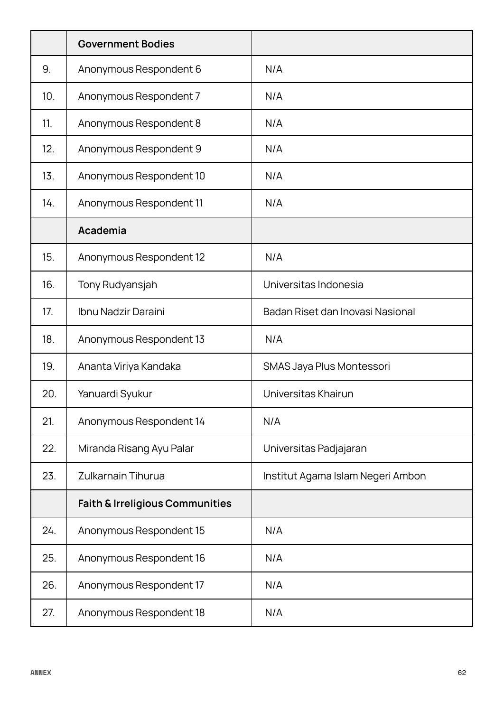|     | <b>Government Bodies</b>                   |                                   |
|-----|--------------------------------------------|-----------------------------------|
| 9.  | Anonymous Respondent 6                     | N/A                               |
| 10. | Anonymous Respondent 7                     | N/A                               |
| 11. | Anonymous Respondent 8                     | N/A                               |
| 12. | Anonymous Respondent 9                     | N/A                               |
| 13. | Anonymous Respondent 10                    | N/A                               |
| 14. | Anonymous Respondent 11                    | N/A                               |
|     | Academia                                   |                                   |
| 15. | Anonymous Respondent 12                    | N/A                               |
| 16. | Tony Rudyansjah                            | Universitas Indonesia             |
| 17. | Ibnu Nadzir Daraini                        | Badan Riset dan Inovasi Nasional  |
| 18. | Anonymous Respondent 13                    | N/A                               |
| 19. | Ananta Viriya Kandaka                      | SMAS Jaya Plus Montessori         |
| 20. | Yanuardi Syukur                            | Universitas Khairun               |
| 21. | Anonymous Respondent 14                    | N/A                               |
| 22. | Miranda Risang Ayu Palar                   | Universitas Padjajaran            |
| 23. | <b>Zulkarnain Tihurua</b>                  | Institut Agama Islam Negeri Ambon |
|     | <b>Faith &amp; Irreligious Communities</b> |                                   |
| 24. | Anonymous Respondent 15                    | N/A                               |
| 25. | Anonymous Respondent 16                    | N/A                               |
| 26. | Anonymous Respondent 17                    | N/A                               |
| 27. | Anonymous Respondent 18                    | N/A                               |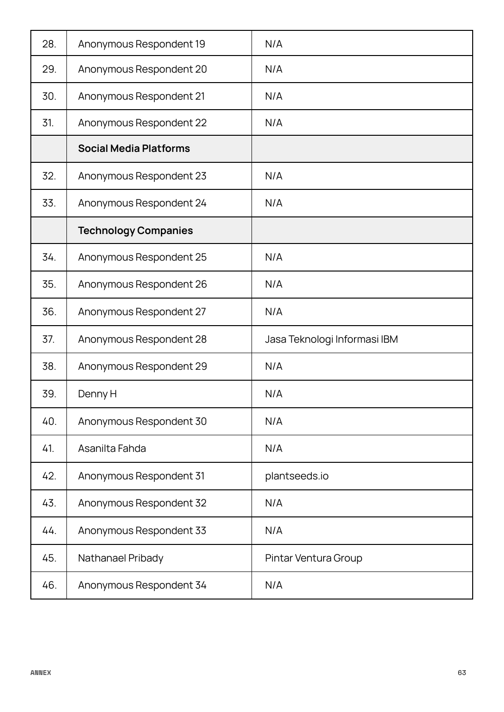| 28. | Anonymous Respondent 19       | N/A                          |
|-----|-------------------------------|------------------------------|
| 29. | Anonymous Respondent 20       | N/A                          |
| 30. | Anonymous Respondent 21       | N/A                          |
| 31. | Anonymous Respondent 22       | N/A                          |
|     | <b>Social Media Platforms</b> |                              |
| 32. | Anonymous Respondent 23       | N/A                          |
| 33. | Anonymous Respondent 24       | N/A                          |
|     | <b>Technology Companies</b>   |                              |
| 34. | Anonymous Respondent 25       | N/A                          |
| 35. | Anonymous Respondent 26       | N/A                          |
| 36. | Anonymous Respondent 27       | N/A                          |
| 37. | Anonymous Respondent 28       | Jasa Teknologi Informasi IBM |
| 38. | Anonymous Respondent 29       | N/A                          |
| 39. | Denny H                       | N/A                          |
| 40. | Anonymous Respondent 30       | N/A                          |
| 41. | Asanilta Fahda                | N/A                          |
| 42. | Anonymous Respondent 31       | plantseeds.io                |
| 43. | Anonymous Respondent 32       | N/A                          |
| 44. | Anonymous Respondent 33       | N/A                          |
| 45. | Nathanael Pribady             | Pintar Ventura Group         |
| 46. | Anonymous Respondent 34       | N/A                          |